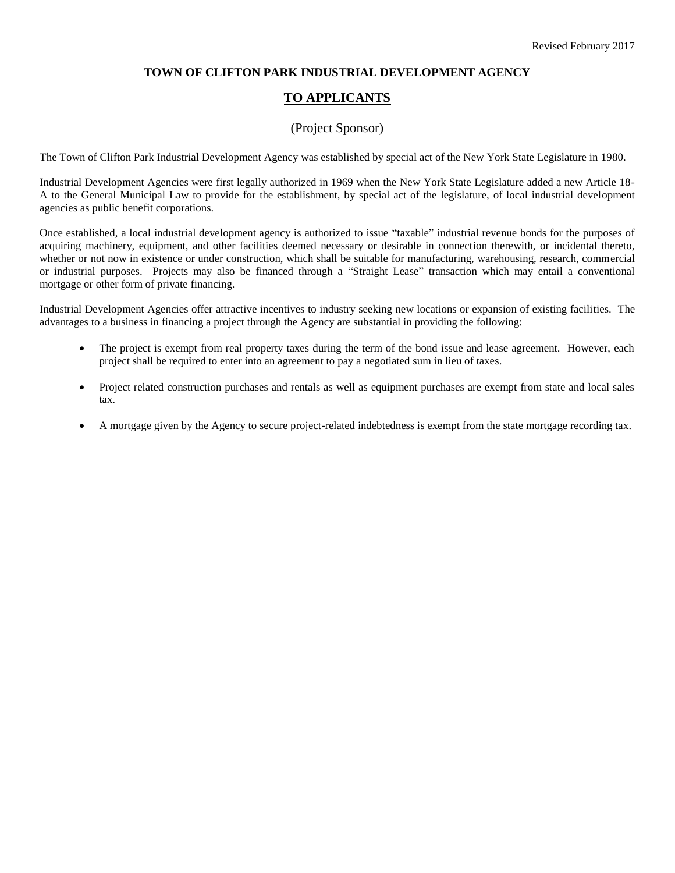### **TOWN OF CLIFTON PARK INDUSTRIAL DEVELOPMENT AGENCY**

# **TO APPLICANTS**

# (Project Sponsor)

The Town of Clifton Park Industrial Development Agency was established by special act of the New York State Legislature in 1980.

Industrial Development Agencies were first legally authorized in 1969 when the New York State Legislature added a new Article 18- A to the General Municipal Law to provide for the establishment, by special act of the legislature, of local industrial development agencies as public benefit corporations.

Once established, a local industrial development agency is authorized to issue "taxable" industrial revenue bonds for the purposes of acquiring machinery, equipment, and other facilities deemed necessary or desirable in connection therewith, or incidental thereto, whether or not now in existence or under construction, which shall be suitable for manufacturing, warehousing, research, commercial or industrial purposes. Projects may also be financed through a "Straight Lease" transaction which may entail a conventional mortgage or other form of private financing.

Industrial Development Agencies offer attractive incentives to industry seeking new locations or expansion of existing facilities. The advantages to a business in financing a project through the Agency are substantial in providing the following:

- The project is exempt from real property taxes during the term of the bond issue and lease agreement. However, each project shall be required to enter into an agreement to pay a negotiated sum in lieu of taxes.
- Project related construction purchases and rentals as well as equipment purchases are exempt from state and local sales tax.
- A mortgage given by the Agency to secure project-related indebtedness is exempt from the state mortgage recording tax.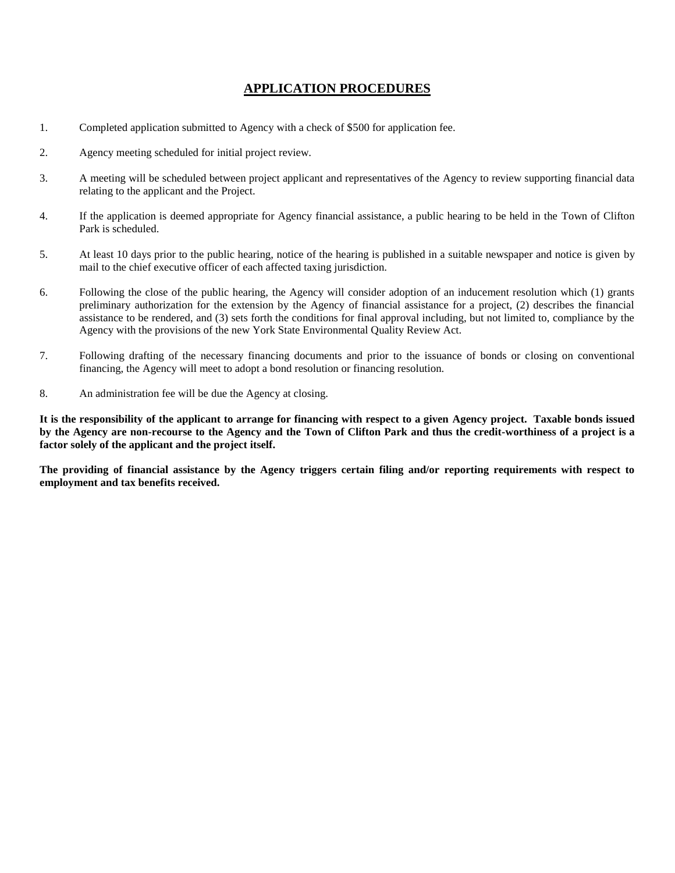# **APPLICATION PROCEDURES**

- 1. Completed application submitted to Agency with a check of \$500 for application fee.
- 2. Agency meeting scheduled for initial project review.
- 3. A meeting will be scheduled between project applicant and representatives of the Agency to review supporting financial data relating to the applicant and the Project.
- 4. If the application is deemed appropriate for Agency financial assistance, a public hearing to be held in the Town of Clifton Park is scheduled.
- 5. At least 10 days prior to the public hearing, notice of the hearing is published in a suitable newspaper and notice is given by mail to the chief executive officer of each affected taxing jurisdiction.
- 6. Following the close of the public hearing, the Agency will consider adoption of an inducement resolution which (1) grants preliminary authorization for the extension by the Agency of financial assistance for a project, (2) describes the financial assistance to be rendered, and (3) sets forth the conditions for final approval including, but not limited to, compliance by the Agency with the provisions of the new York State Environmental Quality Review Act.
- 7. Following drafting of the necessary financing documents and prior to the issuance of bonds or closing on conventional financing, the Agency will meet to adopt a bond resolution or financing resolution.
- 8. An administration fee will be due the Agency at closing.

**It is the responsibility of the applicant to arrange for financing with respect to a given Agency project. Taxable bonds issued by the Agency are non-recourse to the Agency and the Town of Clifton Park and thus the credit-worthiness of a project is a factor solely of the applicant and the project itself.**

**The providing of financial assistance by the Agency triggers certain filing and/or reporting requirements with respect to employment and tax benefits received.**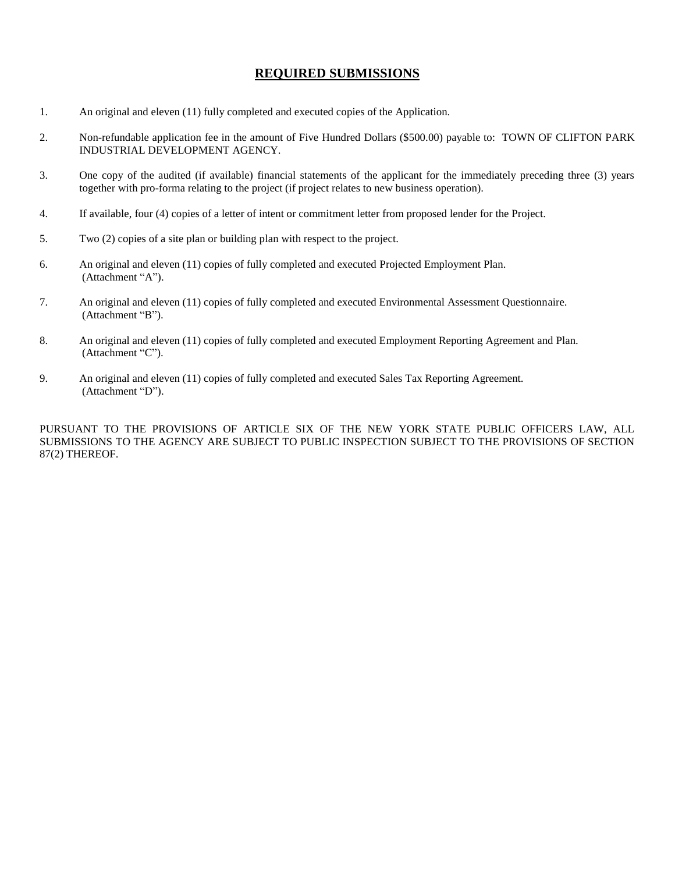## **REQUIRED SUBMISSIONS**

- 1. An original and eleven (11) fully completed and executed copies of the Application.
- 2. Non-refundable application fee in the amount of Five Hundred Dollars (\$500.00) payable to: TOWN OF CLIFTON PARK INDUSTRIAL DEVELOPMENT AGENCY.
- 3. One copy of the audited (if available) financial statements of the applicant for the immediately preceding three (3) years together with pro-forma relating to the project (if project relates to new business operation).
- 4. If available, four (4) copies of a letter of intent or commitment letter from proposed lender for the Project.
- 5. Two (2) copies of a site plan or building plan with respect to the project.
- 6. An original and eleven (11) copies of fully completed and executed Projected Employment Plan. (Attachment "A").
- 7. An original and eleven (11) copies of fully completed and executed Environmental Assessment Questionnaire. (Attachment "B").
- 8. An original and eleven (11) copies of fully completed and executed Employment Reporting Agreement and Plan. (Attachment "C").
- 9. An original and eleven (11) copies of fully completed and executed Sales Tax Reporting Agreement. (Attachment "D").

PURSUANT TO THE PROVISIONS OF ARTICLE SIX OF THE NEW YORK STATE PUBLIC OFFICERS LAW, ALL SUBMISSIONS TO THE AGENCY ARE SUBJECT TO PUBLIC INSPECTION SUBJECT TO THE PROVISIONS OF SECTION 87(2) THEREOF.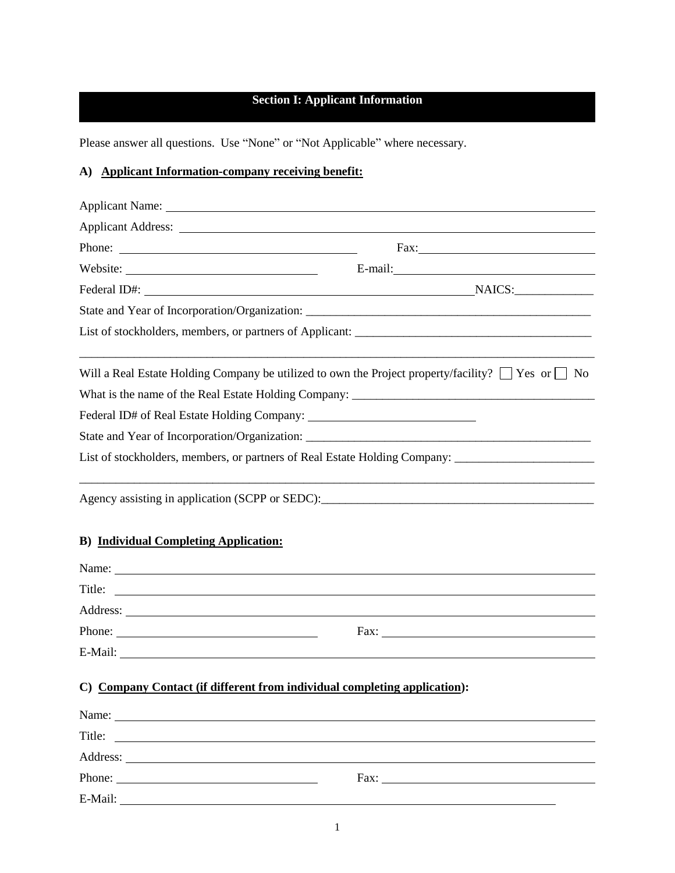# **Section I: Applicant Information**

Please answer all questions. Use "None" or "Not Applicable" where necessary.

# **A) Applicant Information-company receiving benefit:**

| Applicant Name:                                                                                                                                                                                                               |                                                                                                                                                                                                                                                                                            |
|-------------------------------------------------------------------------------------------------------------------------------------------------------------------------------------------------------------------------------|--------------------------------------------------------------------------------------------------------------------------------------------------------------------------------------------------------------------------------------------------------------------------------------------|
|                                                                                                                                                                                                                               |                                                                                                                                                                                                                                                                                            |
| Phone:                                                                                                                                                                                                                        |                                                                                                                                                                                                                                                                                            |
|                                                                                                                                                                                                                               |                                                                                                                                                                                                                                                                                            |
|                                                                                                                                                                                                                               | Federal ID#: NAICS:                                                                                                                                                                                                                                                                        |
|                                                                                                                                                                                                                               |                                                                                                                                                                                                                                                                                            |
|                                                                                                                                                                                                                               |                                                                                                                                                                                                                                                                                            |
|                                                                                                                                                                                                                               | Will a Real Estate Holding Company be utilized to own the Project property/facility? $\Box$ Yes or $\Box$ No                                                                                                                                                                               |
|                                                                                                                                                                                                                               | What is the name of the Real Estate Holding Company:                                                                                                                                                                                                                                       |
|                                                                                                                                                                                                                               |                                                                                                                                                                                                                                                                                            |
|                                                                                                                                                                                                                               |                                                                                                                                                                                                                                                                                            |
|                                                                                                                                                                                                                               | List of stockholders, members, or partners of Real Estate Holding Company: _________________________                                                                                                                                                                                       |
| <b>B)</b> Individual Completing Application:                                                                                                                                                                                  |                                                                                                                                                                                                                                                                                            |
|                                                                                                                                                                                                                               |                                                                                                                                                                                                                                                                                            |
| Title:                                                                                                                                                                                                                        |                                                                                                                                                                                                                                                                                            |
|                                                                                                                                                                                                                               |                                                                                                                                                                                                                                                                                            |
| Phone:                                                                                                                                                                                                                        | Fax: $\frac{1}{2}$ Fax: $\frac{1}{2}$ Fax: $\frac{1}{2}$ Fax: $\frac{1}{2}$ Fax: $\frac{1}{2}$ Fax: $\frac{1}{2}$ Fax: $\frac{1}{2}$ Fax: $\frac{1}{2}$ Fax: $\frac{1}{2}$ Fax: $\frac{1}{2}$ Fax: $\frac{1}{2}$ Fax: $\frac{1}{2}$ Fax: $\frac{1}{2}$ Fax: $\frac{1}{2}$ Fax: $\frac{1}{$ |
| E-Mail:                                                                                                                                                                                                                       |                                                                                                                                                                                                                                                                                            |
| C) Company Contact (if different from individual completing application):                                                                                                                                                     |                                                                                                                                                                                                                                                                                            |
| Name: Name and the same state of the same state of the same state of the same state of the same state of the same state of the same state of the same state of the same state of the same state of the same state of the same |                                                                                                                                                                                                                                                                                            |
| Title:<br><u> 1989 - Andrea State Barbara, amerikan per</u>                                                                                                                                                                   |                                                                                                                                                                                                                                                                                            |
|                                                                                                                                                                                                                               |                                                                                                                                                                                                                                                                                            |
| Phone:                                                                                                                                                                                                                        | Fax: The Commission of the Commission of the Commission of the Commission of the Commission of the Commission of the Commission of the Commission of the Commission of the Commission of the Commission of the Commission of t                                                             |
| E-Mail:                                                                                                                                                                                                                       |                                                                                                                                                                                                                                                                                            |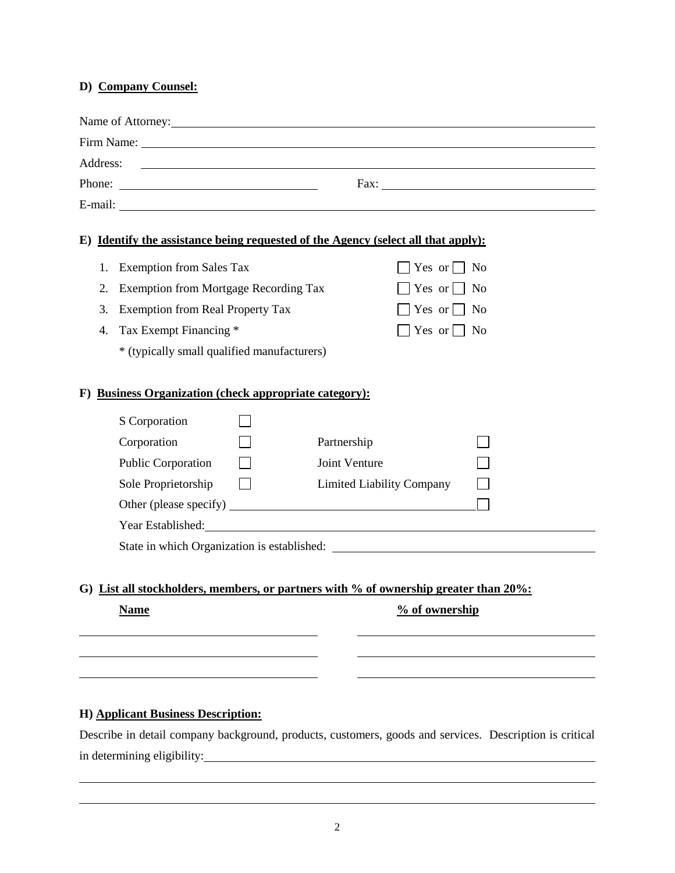# **D) Company Counsel:**

|          |    | Name of Attorney: 1997                                                                                                                                                                                                                                                                                                                                                                                       |  |  |
|----------|----|--------------------------------------------------------------------------------------------------------------------------------------------------------------------------------------------------------------------------------------------------------------------------------------------------------------------------------------------------------------------------------------------------------------|--|--|
|          |    |                                                                                                                                                                                                                                                                                                                                                                                                              |  |  |
| Address: |    | <u> 1989 - Johann Barbara, martin amerikan basar dan berasal dalam basa dalam basar dalam basar dalam basar dala</u>                                                                                                                                                                                                                                                                                         |  |  |
|          |    | Phone: $\frac{1}{\sqrt{1-\frac{1}{2}}\sqrt{1-\frac{1}{2}}\sqrt{1-\frac{1}{2}}\sqrt{1-\frac{1}{2}}\sqrt{1-\frac{1}{2}}\sqrt{1-\frac{1}{2}}\sqrt{1-\frac{1}{2}}\sqrt{1-\frac{1}{2}}\sqrt{1-\frac{1}{2}}\sqrt{1-\frac{1}{2}}\sqrt{1-\frac{1}{2}}\sqrt{1-\frac{1}{2}}\sqrt{1-\frac{1}{2}}\sqrt{1-\frac{1}{2}}\sqrt{1-\frac{1}{2}}\sqrt{1-\frac{1}{2}}\sqrt{1-\frac{1}{2}}\sqrt{1-\frac{1}{2}}\sqrt{1-\frac{1}{2$ |  |  |
|          |    |                                                                                                                                                                                                                                                                                                                                                                                                              |  |  |
|          |    | E) Identify the assistance being requested of the Agency (select all that apply):                                                                                                                                                                                                                                                                                                                            |  |  |
|          | 1. | <b>Exemption from Sales Tax</b><br>Yes or $\Box$ No                                                                                                                                                                                                                                                                                                                                                          |  |  |
|          | 2. | Exemption from Mortgage Recording Tax<br>Yes or $\Box$ No                                                                                                                                                                                                                                                                                                                                                    |  |  |
|          | 3. | <b>Exemption from Real Property Tax</b><br>Yes or $\Box$ No                                                                                                                                                                                                                                                                                                                                                  |  |  |
|          | 4. | Tax Exempt Financing *<br>Yes or $\Box$ No                                                                                                                                                                                                                                                                                                                                                                   |  |  |
|          |    | * (typically small qualified manufacturers)                                                                                                                                                                                                                                                                                                                                                                  |  |  |
|          |    | <b>Business Organization (check appropriate category):</b><br>S Corporation<br>Corporation<br>Partnership<br>Public Corporation<br>Joint Venture                                                                                                                                                                                                                                                             |  |  |
|          |    | Sole Proprietorship<br><b>Limited Liability Company</b>                                                                                                                                                                                                                                                                                                                                                      |  |  |
|          |    |                                                                                                                                                                                                                                                                                                                                                                                                              |  |  |
|          |    | Year Established: New York Contract to the Contract of the Contract of the Contract of the Contract of the Contract of the Contract of the Contract of the Contract of the Contract of the Contract of the Contract of the Con                                                                                                                                                                               |  |  |
|          |    |                                                                                                                                                                                                                                                                                                                                                                                                              |  |  |
|          |    | G) List all stockholders, members, or partners with % of ownership greater than 20%:                                                                                                                                                                                                                                                                                                                         |  |  |
|          |    | % of ownership<br><b>Name</b>                                                                                                                                                                                                                                                                                                                                                                                |  |  |
|          |    |                                                                                                                                                                                                                                                                                                                                                                                                              |  |  |
|          |    |                                                                                                                                                                                                                                                                                                                                                                                                              |  |  |
|          |    |                                                                                                                                                                                                                                                                                                                                                                                                              |  |  |

# **H) Applicant Business Description:**

Describe in detail company background, products, customers, goods and services. Description is critical in determining eligibility: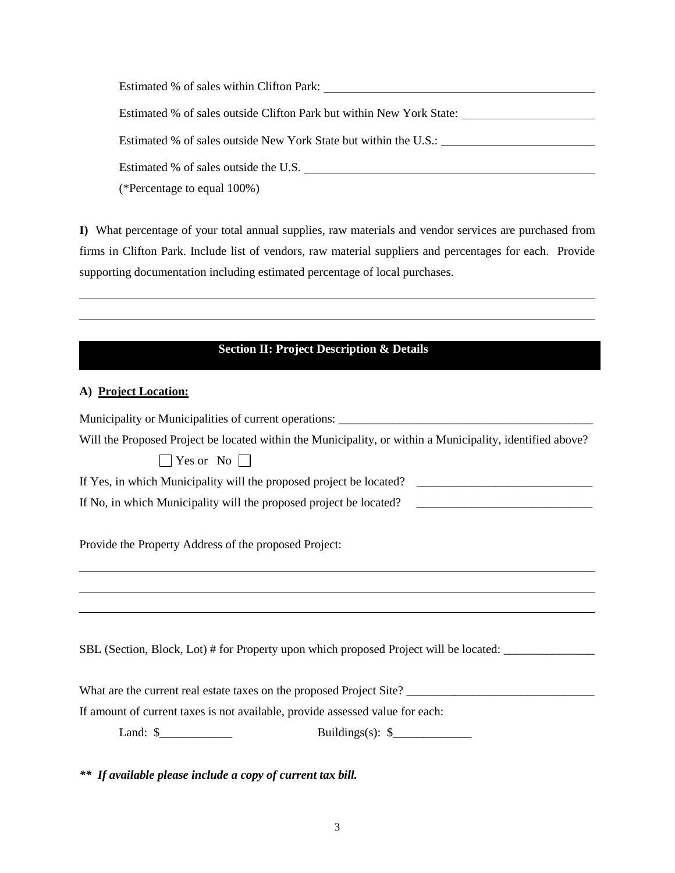Estimated % of sales within Clifton Park: Estimated % of sales outside Clifton Park but within New York State: Estimated % of sales outside New York State but within the U.S.: Estimated % of sales outside the U.S. (\*Percentage to equal 100%)

**I)** What percentage of your total annual supplies, raw materials and vendor services are purchased from firms in Clifton Park. Include list of vendors, raw material suppliers and percentages for each. Provide supporting documentation including estimated percentage of local purchases.

## **Section II: Project Description & Details**

#### **A) Project Location:**

| Municipality or Municipalities of current operations: ___________________________                         |
|-----------------------------------------------------------------------------------------------------------|
| Will the Proposed Project be located within the Municipality, or within a Municipality, identified above? |
| $\Box$ Yes or No $\Box$                                                                                   |
|                                                                                                           |
|                                                                                                           |
| Provide the Property Address of the proposed Project:                                                     |
| ,我们也不会有什么。""我们的人,我们也不会有什么?""我们的人,我们也不会有什么?""我们的人,我们也不会有什么?""我们的人,我们也不会有什么?""我们的人                          |
|                                                                                                           |
| SBL (Section, Block, Lot) # for Property upon which proposed Project will be located:                     |
| What are the current real estate taxes on the proposed Project Site?                                      |
| If amount of current taxes is not available, provide assessed value for each:                             |
| Land: $\frac{\sqrt{2}}{2}$<br>Buildings(s): $\frac{1}{2}$                                                 |

*\*\* If available please include a copy of current tax bill.*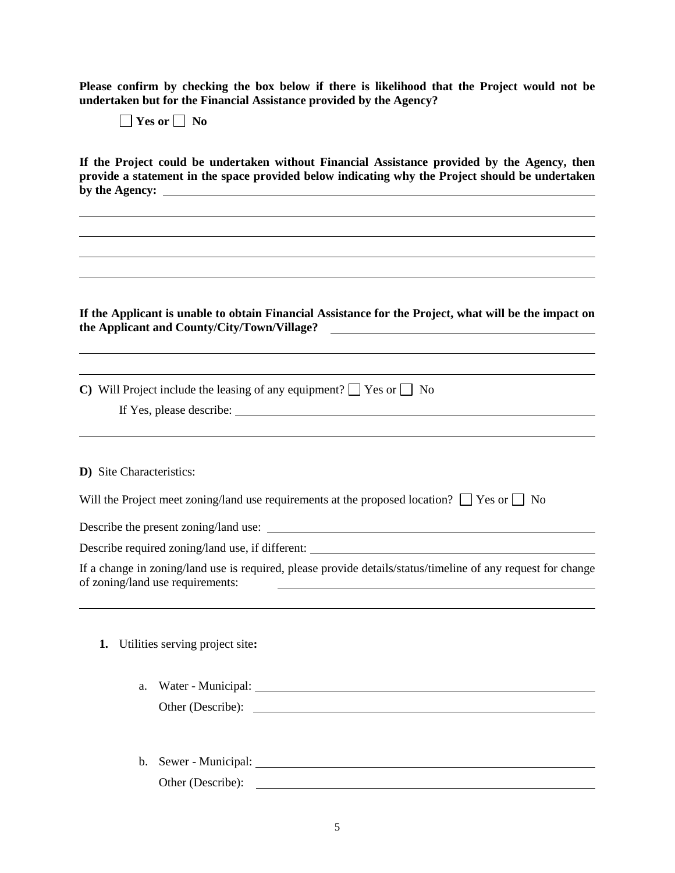**Please confirm by checking the box below if there is likelihood that the Project would not be undertaken but for the Financial Assistance provided by the Agency?** 

**Yes or No**

**If the Project could be undertaken without Financial Assistance provided by the Agency, then provide a statement in the space provided below indicating why the Project should be undertaken by the Agency:** 

**If the Applicant is unable to obtain Financial Assistance for the Project, what will be the impact on the Applicant and County/City/Town/Village?** 

**C**) Will Project include the leasing of any equipment?  $\Box$  Yes or  $\Box$  No If Yes, please describe:

**D)** Site Characteristics:

Will the Project meet zoning/land use requirements at the proposed location?  $\Box$  Yes or  $\Box$  No

Describe the present zoning/land use:

Describe required zoning/land use, if different:

If a change in zoning/land use is required, please provide details/status/timeline of any request for change of zoning/land use requirements:

**1.** Utilities serving project site**:**

| a. Water - Municipal: |  |
|-----------------------|--|
| Other (Describe):     |  |

b. Sewer - Municipal: Other (Describe):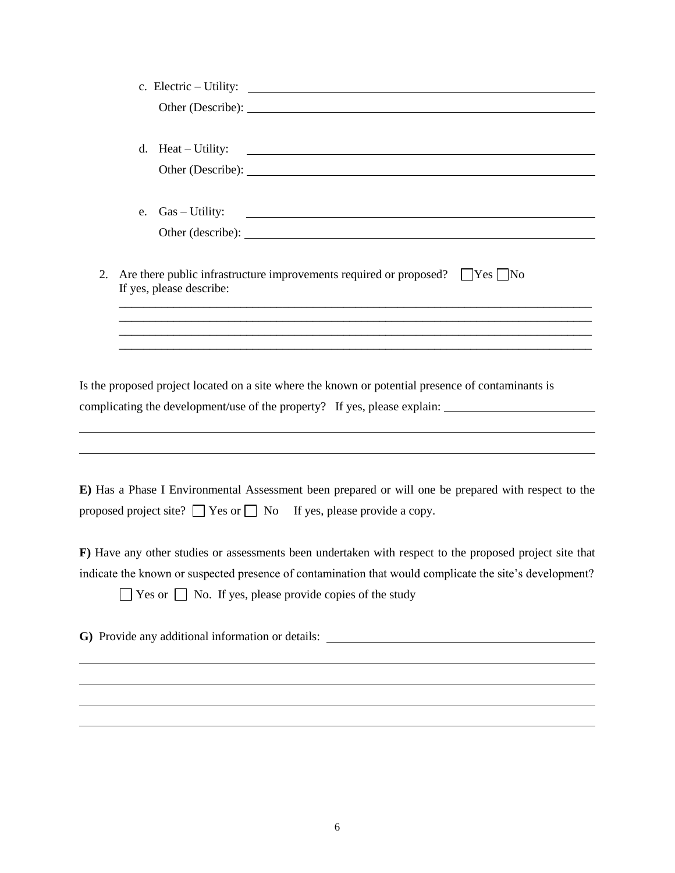|    |                          | c. Electric $-$ Utility: $\qquad \qquad$                                                                                                                                             |
|----|--------------------------|--------------------------------------------------------------------------------------------------------------------------------------------------------------------------------------|
|    |                          | Other (Describe): 2008. [2016]                                                                                                                                                       |
|    | d. $Heat-Utility:$       | <u> Alexandria de la contrada de la contrada de la contrada de la contrada de la contrada de la contrada de la c</u>                                                                 |
|    |                          | Other (Describe):                                                                                                                                                                    |
|    |                          | e. Gas – Utility:                                                                                                                                                                    |
|    |                          |                                                                                                                                                                                      |
| 2. | If yes, please describe: | Are there public infrastructure improvements required or proposed? $\Box$ Yes $\Box$ No                                                                                              |
|    |                          | ,我们也不能在这里的人,我们也不能在这里的人,我们也不能在这里的人,我们也不能在这里的人,我们也不能在这里的人,我们也不能在这里的人,我们也不能在这里的人,我们也                                                                                                    |
|    |                          |                                                                                                                                                                                      |
|    |                          | Is the proposed project located on a site where the known or potential presence of contaminants is<br>complicating the development/use of the property? If yes, please explain:      |
|    |                          | ,我们也不会有什么。""我们的人,我们也不会有什么?""我们的人,我们也不会有什么?""我们的人,我们也不会有什么?""我们的人,我们也不会有什么?""我们的人                                                                                                     |
|    |                          | E) Has a Phase I Environmental Assessment been prepared or will one be prepared with respect to the<br>proposed project site? $\Box$ Yes or $\Box$ No If yes, please provide a copy. |
|    |                          | F) Have any other studies or assessments been undertaken with respect to the proposed project site that                                                                              |
|    |                          | indicate the known or suspected presence of contamination that would complicate the site's development?<br>$\Box$ Yes or $\Box$ No. If yes, please provide copies of the study       |
|    |                          | G) Provide any additional information or details: _______________________________                                                                                                    |
|    |                          |                                                                                                                                                                                      |
|    |                          |                                                                                                                                                                                      |
|    |                          |                                                                                                                                                                                      |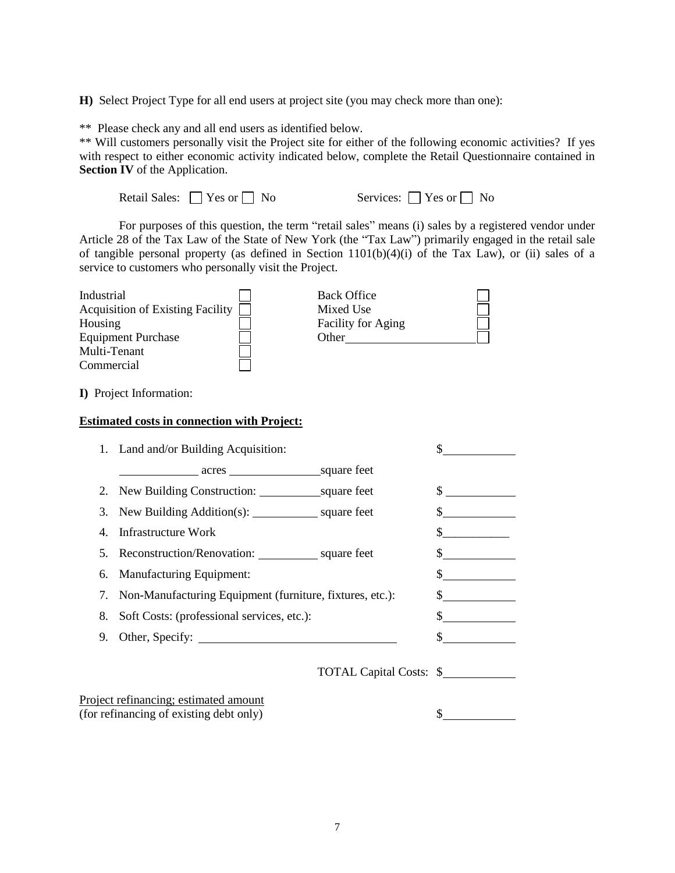**H)** Select Project Type for all end users at project site (you may check more than one):

\*\* Please check any and all end users as identified below.

\*\* Will customers personally visit the Project site for either of the following economic activities? If yes with respect to either economic activity indicated below, complete the Retail Questionnaire contained in **Section IV** of the Application.

| Retail Sales: $\Box$ Yes or $\Box$ No |  |
|---------------------------------------|--|
|                                       |  |

Services:  $\Box$  Yes or  $\Box$  No

For purposes of this question, the term "retail sales" means (i) sales by a registered vendor under Article 28 of the Tax Law of the State of New York (the "Tax Law") primarily engaged in the retail sale of tangible personal property (as defined in Section 1101(b)(4)(i) of the Tax Law), or (ii) sales of a service to customers who personally visit the Project.

| Industrial                       | <b>Back Office</b> |
|----------------------------------|--------------------|
| Acquisition of Existing Facility | Mixed Use          |
| Housing                          | Facility for Aging |
| <b>Equipment Purchase</b>        | Other              |
| Multi-Tenant                     |                    |
| Commercial                       |                    |

**I)** Project Information:

#### **Estimated costs in connection with Project:**

| 1. Land and/or Building Acquisition:                   |                                         |                                                                                                  |
|--------------------------------------------------------|-----------------------------------------|--------------------------------------------------------------------------------------------------|
| square feet<br>$\frac{\text{acres}}{\text{acres}}$     |                                         |                                                                                                  |
|                                                        | \$                                      |                                                                                                  |
| New Building Addition(s): ________________ square feet |                                         |                                                                                                  |
| <b>Infrastructure Work</b>                             |                                         |                                                                                                  |
| Reconstruction/Renovation: square feet                 |                                         |                                                                                                  |
| <b>Manufacturing Equipment:</b>                        |                                         |                                                                                                  |
|                                                        |                                         |                                                                                                  |
| Soft Costs: (professional services, etc.):             |                                         |                                                                                                  |
| Other, Specify:                                        |                                         |                                                                                                  |
|                                                        |                                         |                                                                                                  |
| Project refinancing; estimated amount                  |                                         |                                                                                                  |
|                                                        | (for refinancing of existing debt only) | Non-Manufacturing Equipment (furniture, fixtures, etc.):<br><b>TOTAL Capital Costs: \$</b><br>\$ |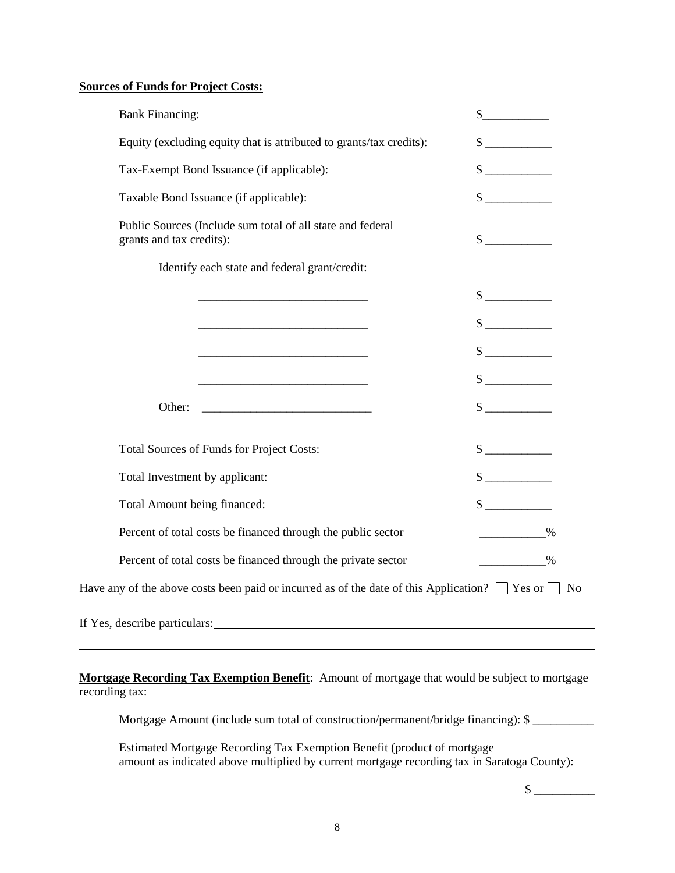# **Sources of Funds for Project Costs:**

| <b>Bank Financing:</b>                                                                                        | s                           |  |  |
|---------------------------------------------------------------------------------------------------------------|-----------------------------|--|--|
| Equity (excluding equity that is attributed to grants/tax credits):                                           | $\frac{1}{\sqrt{2}}$        |  |  |
| Tax-Exempt Bond Issuance (if applicable):                                                                     | $\frac{1}{\sqrt{2}}$        |  |  |
| Taxable Bond Issuance (if applicable):                                                                        | $\frac{\text{S}}{\text{S}}$ |  |  |
| Public Sources (Include sum total of all state and federal<br>grants and tax credits):                        | $\frac{1}{2}$               |  |  |
| Identify each state and federal grant/credit:                                                                 |                             |  |  |
|                                                                                                               | $\frac{\text{S}}{\text{S}}$ |  |  |
|                                                                                                               | $\frac{1}{2}$               |  |  |
|                                                                                                               | $\frac{\text{S}}{\text{S}}$ |  |  |
|                                                                                                               | $\sim$                      |  |  |
| Other:                                                                                                        | $\frac{\text{S}}{\text{S}}$ |  |  |
| Total Sources of Funds for Project Costs:                                                                     | $\frac{\text{S}}{\text{S}}$ |  |  |
| Total Investment by applicant:                                                                                | $\frac{1}{2}$               |  |  |
| Total Amount being financed:                                                                                  | $\frac{\text{S}}{\text{S}}$ |  |  |
| Percent of total costs be financed through the public sector                                                  | $\%$                        |  |  |
| Percent of total costs be financed through the private sector                                                 | $\sim$ 0%                   |  |  |
| Have any of the above costs been paid or incurred as of the date of this Application? $\Box$ Yes or $\Box$ No |                             |  |  |
| If Yes, describe particulars:                                                                                 |                             |  |  |

**Mortgage Recording Tax Exemption Benefit**: Amount of mortgage that would be subject to mortgage recording tax:

Mortgage Amount (include sum total of construction/permanent/bridge financing): \$

Estimated Mortgage Recording Tax Exemption Benefit (product of mortgage amount as indicated above multiplied by current mortgage recording tax in Saratoga County):

 $\mathcal{S}$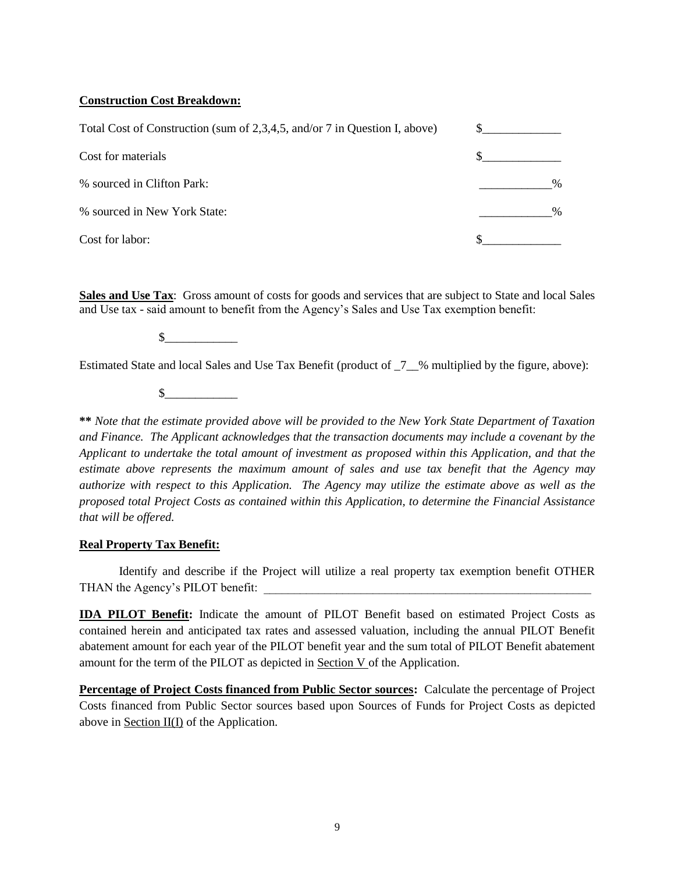### **Construction Cost Breakdown:**

| Total Cost of Construction (sum of 2,3,4,5, and/or 7 in Question I, above) |      |  |
|----------------------------------------------------------------------------|------|--|
| Cost for materials                                                         |      |  |
| % sourced in Clifton Park:                                                 | $\%$ |  |
| % sourced in New York State:                                               | $\%$ |  |
| Cost for labor:                                                            |      |  |

**Sales and Use Tax**: Gross amount of costs for goods and services that are subject to State and local Sales and Use tax - said amount to benefit from the Agency's Sales and Use Tax exemption benefit:

 $\mathbb S$ 

Estimated State and local Sales and Use Tax Benefit (product of  $\frac{7}{8}$  multiplied by the figure, above):

 $\mathbb{S}$ 

**\*\*** *Note that the estimate provided above will be provided to the New York State Department of Taxation and Finance. The Applicant acknowledges that the transaction documents may include a covenant by the Applicant to undertake the total amount of investment as proposed within this Application, and that the estimate above represents the maximum amount of sales and use tax benefit that the Agency may authorize with respect to this Application. The Agency may utilize the estimate above as well as the proposed total Project Costs as contained within this Application, to determine the Financial Assistance that will be offered.*

#### **Real Property Tax Benefit:**

Identify and describe if the Project will utilize a real property tax exemption benefit OTHER THAN the Agency's PILOT benefit:

**IDA PILOT Benefit:** Indicate the amount of PILOT Benefit based on estimated Project Costs as contained herein and anticipated tax rates and assessed valuation, including the annual PILOT Benefit abatement amount for each year of the PILOT benefit year and the sum total of PILOT Benefit abatement amount for the term of the PILOT as depicted in Section V of the Application.

**Percentage of Project Costs financed from Public Sector sources:** Calculate the percentage of Project Costs financed from Public Sector sources based upon Sources of Funds for Project Costs as depicted above in Section  $II(I)$  of the Application.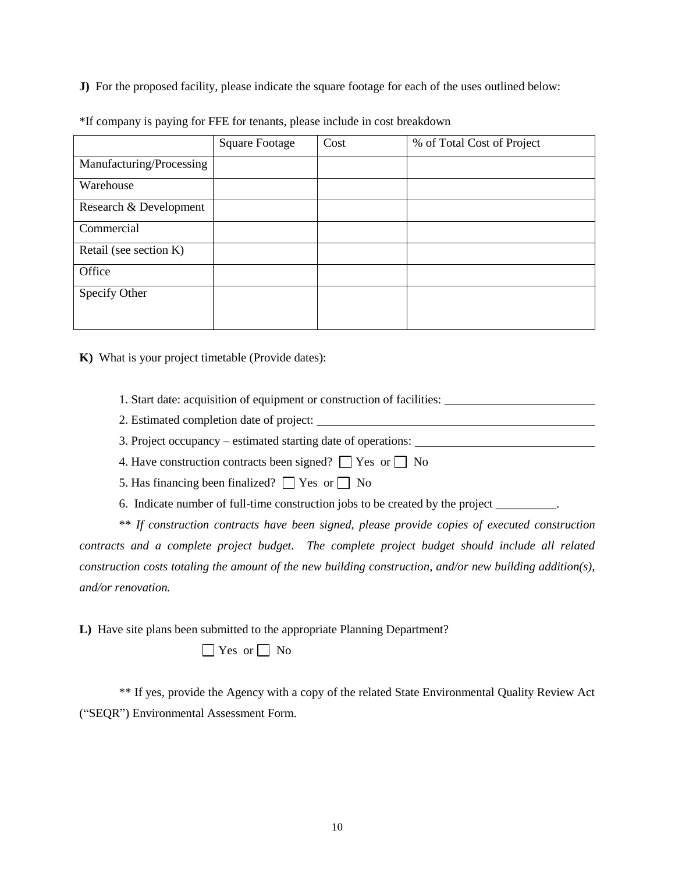**J)** For the proposed facility, please indicate the square footage for each of the uses outlined below:

|                          | <b>Square Footage</b> | Cost | % of Total Cost of Project |
|--------------------------|-----------------------|------|----------------------------|
| Manufacturing/Processing |                       |      |                            |
| Warehouse                |                       |      |                            |
| Research & Development   |                       |      |                            |
| Commercial               |                       |      |                            |
| Retail (see section K)   |                       |      |                            |
| Office                   |                       |      |                            |
| Specify Other            |                       |      |                            |
|                          |                       |      |                            |

\*If company is paying for FFE for tenants, please include in cost breakdown

**K)** What is your project timetable (Provide dates):

1. Start date: acquisition of equipment or construction of facilities:

2. Estimated completion date of project:

3. Project occupancy – estimated starting date of operations:

4. Have construction contracts been signed?  $\Box$  Yes or  $\Box$  No

5. Has financing been finalized?  $\Box$  Yes or  $\Box$  No

6. Indicate number of full-time construction jobs to be created by the project \_\_\_\_\_\_\_\_\_\_.

\*\* *If construction contracts have been signed, please provide copies of executed construction contracts and a complete project budget. The complete project budget should include all related construction costs totaling the amount of the new building construction, and/or new building addition(s), and/or renovation.*

**L)** Have site plans been submitted to the appropriate Planning Department?

 $\Box$  Yes or  $\Box$  No

\*\* If yes, provide the Agency with a copy of the related State Environmental Quality Review Act ("SEQR") Environmental Assessment Form.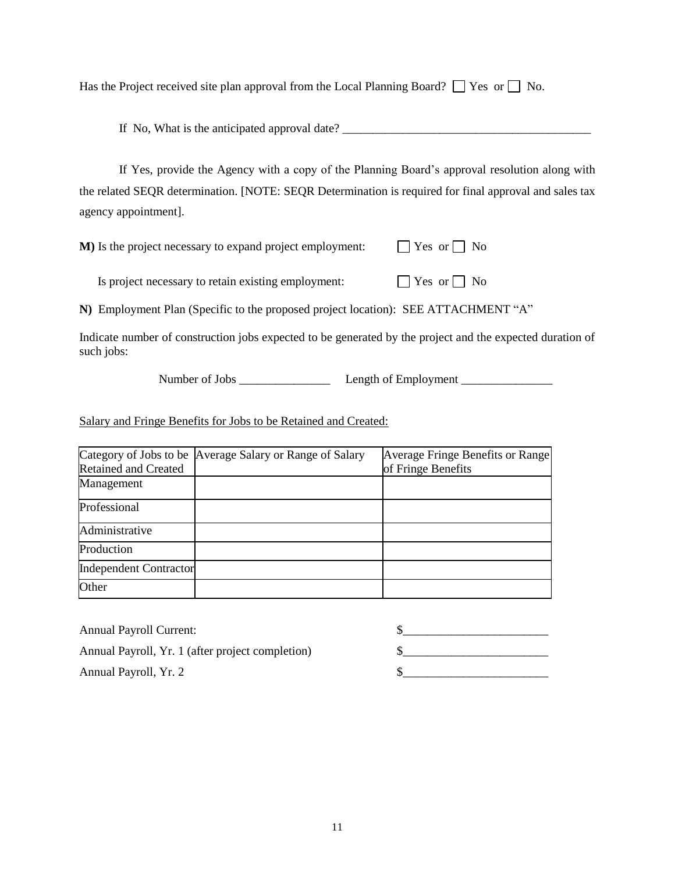Has the Project received site plan approval from the Local Planning Board?  $\Box$  Yes or  $\Box$  No.

If No, What is the anticipated approval date? \_\_\_\_\_\_\_\_\_\_\_\_\_\_\_\_\_\_\_\_\_\_\_\_\_\_\_\_\_\_\_\_\_\_\_\_\_\_\_\_\_

If Yes, provide the Agency with a copy of the Planning Board's approval resolution along with the related SEQR determination. [NOTE: SEQR Determination is required for final approval and sales tax agency appointment].

**M**) Is the project necessary to expand project employment:  $\Box$  Yes or  $\Box$  No

Is project necessary to retain existing employment:  $\Box$  Yes or  $\Box$  No

**N)** Employment Plan (Specific to the proposed project location): SEE ATTACHMENT "A"

Indicate number of construction jobs expected to be generated by the project and the expected duration of such jobs:

Number of Jobs \_\_\_\_\_\_\_\_\_\_\_\_\_\_\_ Length of Employment \_\_\_\_\_\_\_\_\_\_\_\_\_\_\_

Salary and Fringe Benefits for Jobs to be Retained and Created:

|                               | Category of Jobs to be Average Salary or Range of Salary | Average Fringe Benefits or Range |
|-------------------------------|----------------------------------------------------------|----------------------------------|
| <b>Retained and Created</b>   |                                                          | of Fringe Benefits               |
| Management                    |                                                          |                                  |
| Professional                  |                                                          |                                  |
| Administrative                |                                                          |                                  |
| Production                    |                                                          |                                  |
| <b>Independent Contractor</b> |                                                          |                                  |
| Other                         |                                                          |                                  |

| <b>Annual Payroll Current:</b>                   |  |
|--------------------------------------------------|--|
| Annual Payroll, Yr. 1 (after project completion) |  |
| Annual Payroll, Yr. 2                            |  |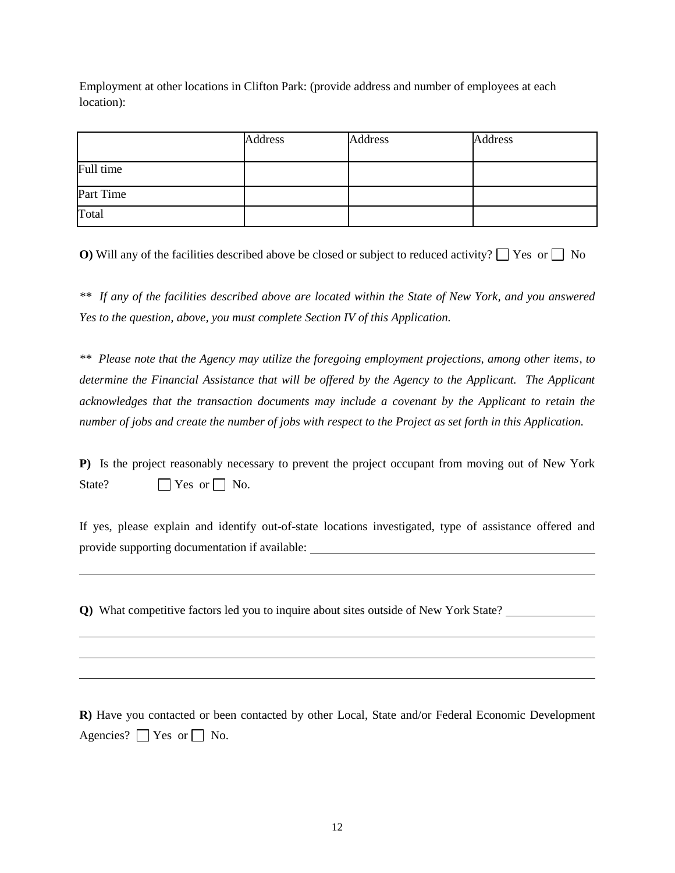Employment at other locations in Clifton Park: (provide address and number of employees at each location):

|           | <b>Address</b> | Address | <b>Address</b> |
|-----------|----------------|---------|----------------|
| Full time |                |         |                |
| Part Time |                |         |                |
| Total     |                |         |                |

**O)** Will any of the facilities described above be closed or subject to reduced activity?  $\Box$  Yes or  $\Box$  No

*\*\* If any of the facilities described above are located within the State of New York, and you answered Yes to the question, above, you must complete Section IV of this Application.* 

*\*\* Please note that the Agency may utilize the foregoing employment projections, among other items, to determine the Financial Assistance that will be offered by the Agency to the Applicant. The Applicant acknowledges that the transaction documents may include a covenant by the Applicant to retain the number of jobs and create the number of jobs with respect to the Project as set forth in this Application.*

**P)** Is the project reasonably necessary to prevent the project occupant from moving out of New York State?  $\Box$  Yes or  $\Box$  No.

If yes, please explain and identify out-of-state locations investigated, type of assistance offered and provide supporting documentation if available:

**Q)** What competitive factors led you to inquire about sites outside of New York State?

**R)** Have you contacted or been contacted by other Local, State and/or Federal Economic Development Agencies?  $\Box$  Yes or  $\Box$  No.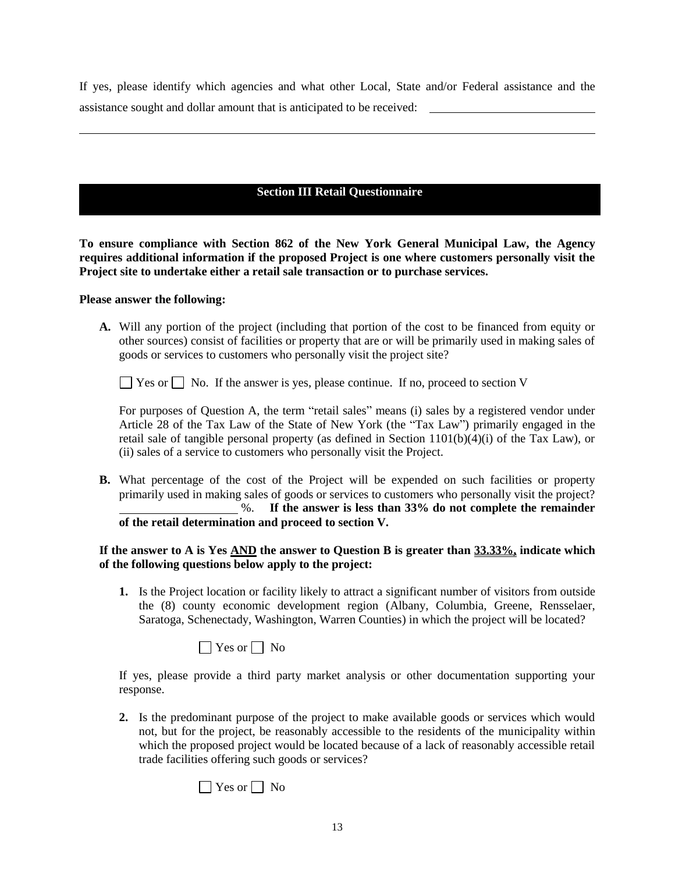If yes, please identify which agencies and what other Local, State and/or Federal assistance and the assistance sought and dollar amount that is anticipated to be received:

# **Section III Retail Questionnaire**

**To ensure compliance with Section 862 of the New York General Municipal Law, the Agency requires additional information if the proposed Project is one where customers personally visit the Project site to undertake either a retail sale transaction or to purchase services.**

#### **Please answer the following:**

**A.** Will any portion of the project (including that portion of the cost to be financed from equity or other sources) consist of facilities or property that are or will be primarily used in making sales of goods or services to customers who personally visit the project site?

 $\Box$  Yes or  $\Box$  No. If the answer is yes, please continue. If no, proceed to section V

For purposes of Question A, the term "retail sales" means (i) sales by a registered vendor under Article 28 of the Tax Law of the State of New York (the "Tax Law") primarily engaged in the retail sale of tangible personal property (as defined in Section 1101(b)(4)(i) of the Tax Law), or (ii) sales of a service to customers who personally visit the Project.

**B.** What percentage of the cost of the Project will be expended on such facilities or property primarily used in making sales of goods or services to customers who personally visit the project? %. **If the answer is less than 33% do not complete the remainder of the retail determination and proceed to section V.**

### **If the answer to A is Yes AND the answer to Question B is greater than 33.33%, indicate which of the following questions below apply to the project:**

**1.** Is the Project location or facility likely to attract a significant number of visitors from outside the (8) county economic development region (Albany, Columbia, Greene, Rensselaer, Saratoga, Schenectady, Washington, Warren Counties) in which the project will be located?

 $\Box$  Yes or  $\Box$  No

If yes, please provide a third party market analysis or other documentation supporting your response.

**2.** Is the predominant purpose of the project to make available goods or services which would not, but for the project, be reasonably accessible to the residents of the municipality within which the proposed project would be located because of a lack of reasonably accessible retail trade facilities offering such goods or services?

 $\Box$  Yes or  $\Box$  No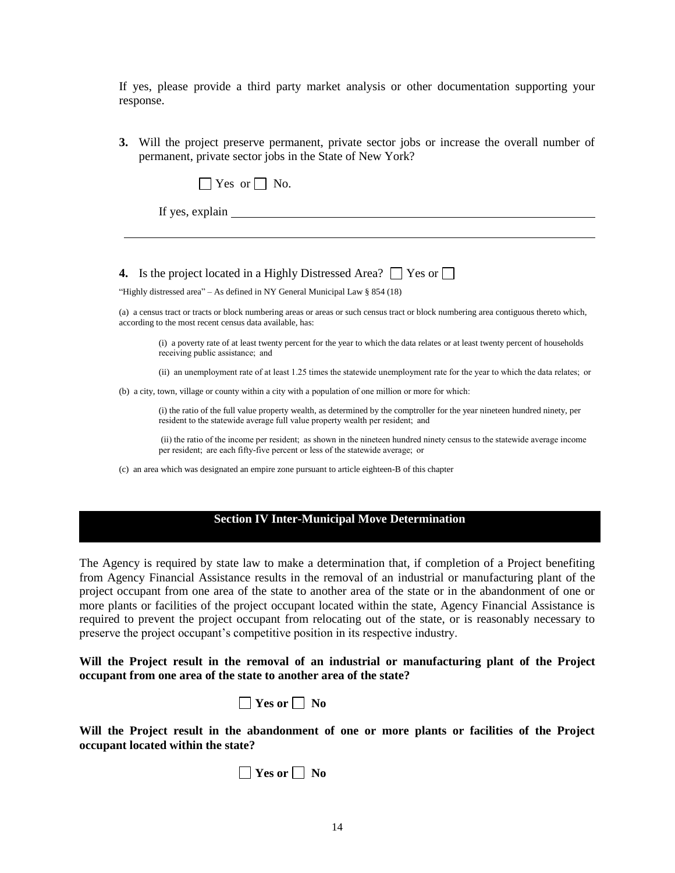If yes, please provide a third party market analysis or other documentation supporting your response.

**3.** Will the project preserve permanent, private sector jobs or increase the overall number of permanent, private sector jobs in the State of New York?

|  |  | $Yes$ or $\vdash$ |  |  | No. |
|--|--|-------------------|--|--|-----|
|--|--|-------------------|--|--|-----|

If yes, explain

#### **4.** Is the project located in a Highly Distressed Area?  $\Box$  Yes or  $\Box$

"Highly distressed area" – As defined in NY General Municipal Law § 854 (18)

(a) a census tract or tracts or block numbering areas or areas or such census tract or block numbering area contiguous thereto which, according to the most recent census data available, has:

(i) a poverty rate of at least twenty percent for the year to which the data relates or at least twenty percent of households receiving public assistance;  and

(ii) an unemployment rate of at least 1.25 times the statewide unemployment rate for the year to which the data relates;  or

(b) a city, town, village or county within a city with a population of one million or more for which:  

(i) the ratio of the full value property wealth, as determined by the comptroller for the year nineteen hundred ninety, per resident to the statewide average full value property wealth per resident;  and

(ii) the ratio of the income per resident;  as shown in the nineteen hundred ninety census to the statewide average income per resident;  are each fifty-five percent or less of the statewide average;  or

(c) an area which was designated an empire zone pursuant to article eighteen-B of this chapter

### **Section IV Inter-Municipal Move Determination**

The Agency is required by state law to make a determination that, if completion of a Project benefiting from Agency Financial Assistance results in the removal of an industrial or manufacturing plant of the project occupant from one area of the state to another area of the state or in the abandonment of one or more plants or facilities of the project occupant located within the state, Agency Financial Assistance is required to prevent the project occupant from relocating out of the state, or is reasonably necessary to preserve the project occupant's competitive position in its respective industry.

#### **Will the Project result in the removal of an industrial or manufacturing plant of the Project occupant from one area of the state to another area of the state?**

| Yes or |  | NΩ |
|--------|--|----|
|--------|--|----|

**Will the Project result in the abandonment of one or more plants or facilities of the Project occupant located within the state?**

| Y es or |  | NO |
|---------|--|----|
|---------|--|----|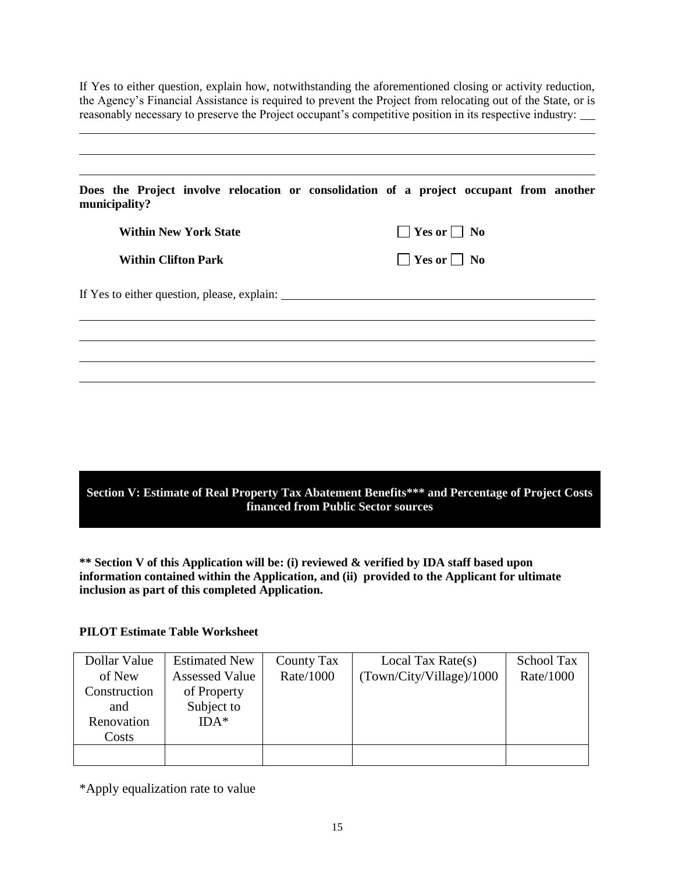If Yes to either question, explain how, notwithstanding the aforementioned closing or activity reduction, the Agency's Financial Assistance is required to prevent the Project from relocating out of the State, or is reasonably necessary to preserve the Project occupant's competitive position in its respective industry:

| municipality?                               | Does the Project involve relocation or consolidation of a project occupant from another |
|---------------------------------------------|-----------------------------------------------------------------------------------------|
| <b>Within New York State</b>                | $\Box$ Yes or $\Box$ No                                                                 |
| <b>Within Clifton Park</b>                  | $\Box$ Yes or $\Box$ No                                                                 |
| If Yes to either question, please, explain: |                                                                                         |
|                                             |                                                                                         |
|                                             |                                                                                         |

**Section V: Estimate of Real Property Tax Abatement Benefits\*\*\* and Percentage of Project Costs financed from Public Sector sources**

**\*\* Section V of this Application will be: (i) reviewed & verified by IDA staff based upon information contained within the Application, and (ii) provided to the Applicant for ultimate inclusion as part of this completed Application.**

#### **PILOT Estimate Table Worksheet**

| <b>Estimated New</b>  | <b>County Tax</b> | Local Tax Rate $(s)$     | School Tax |
|-----------------------|-------------------|--------------------------|------------|
| <b>Assessed Value</b> | Rate/1000         | (Town/City/Village)/1000 | Rate/1000  |
| of Property           |                   |                          |            |
| Subject to            |                   |                          |            |
| $IDA*$                |                   |                          |            |
|                       |                   |                          |            |
|                       |                   |                          |            |
|                       |                   |                          |            |

\*Apply equalization rate to value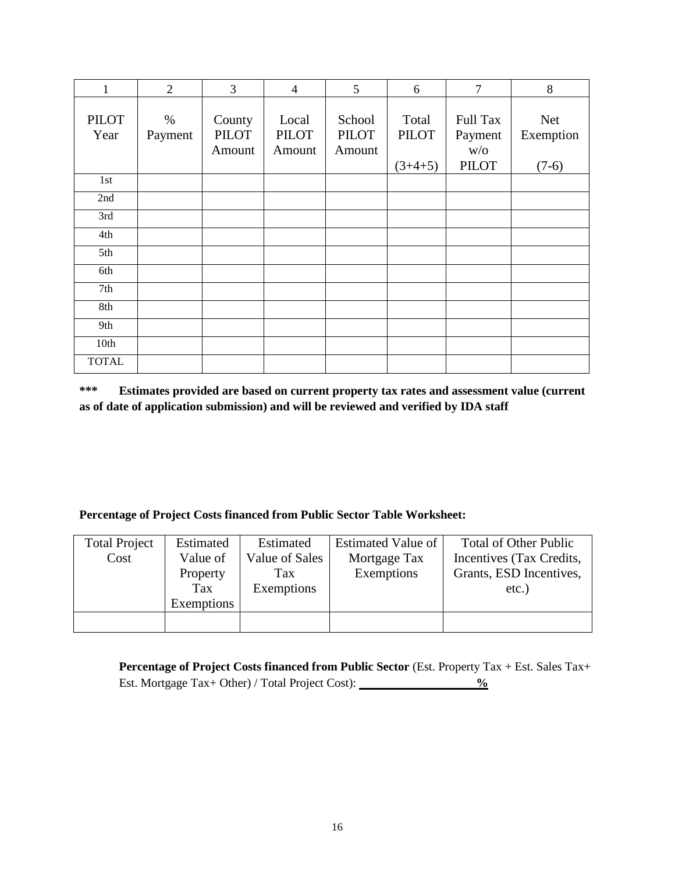| 1                    | $\overline{2}$  | 3                                | $\overline{4}$                  | $5\overline{)}$                  | 6                                  | $\overline{7}$                                    | 8                                  |
|----------------------|-----------------|----------------------------------|---------------------------------|----------------------------------|------------------------------------|---------------------------------------------------|------------------------------------|
| <b>PILOT</b><br>Year | $\%$<br>Payment | County<br><b>PILOT</b><br>Amount | Local<br><b>PILOT</b><br>Amount | School<br><b>PILOT</b><br>Amount | Total<br><b>PILOT</b><br>$(3+4+5)$ | <b>Full Tax</b><br>Payment<br>W/O<br><b>PILOT</b> | <b>Net</b><br>Exemption<br>$(7-6)$ |
| 1st                  |                 |                                  |                                 |                                  |                                    |                                                   |                                    |
| 2nd                  |                 |                                  |                                 |                                  |                                    |                                                   |                                    |
| 3rd                  |                 |                                  |                                 |                                  |                                    |                                                   |                                    |
| 4th                  |                 |                                  |                                 |                                  |                                    |                                                   |                                    |
| 5th                  |                 |                                  |                                 |                                  |                                    |                                                   |                                    |
| 6th                  |                 |                                  |                                 |                                  |                                    |                                                   |                                    |
| 7th                  |                 |                                  |                                 |                                  |                                    |                                                   |                                    |
| 8th                  |                 |                                  |                                 |                                  |                                    |                                                   |                                    |
| 9th                  |                 |                                  |                                 |                                  |                                    |                                                   |                                    |
| 10th                 |                 |                                  |                                 |                                  |                                    |                                                   |                                    |
| <b>TOTAL</b>         |                 |                                  |                                 |                                  |                                    |                                                   |                                    |

**\*\*\* Estimates provided are based on current property tax rates and assessment value (current as of date of application submission) and will be reviewed and verified by IDA staff**

## **Percentage of Project Costs financed from Public Sector Table Worksheet:**

| <b>Total Project</b> | Estimated  | Estimated      | <b>Estimated Value of</b> | <b>Total of Other Public</b> |
|----------------------|------------|----------------|---------------------------|------------------------------|
| Cost                 | Value of   | Value of Sales | Mortgage Tax              | Incentives (Tax Credits,     |
|                      | Property   | Tax            | Exemptions                | Grants, ESD Incentives,      |
|                      | Tax        | Exemptions     |                           | $etc.$ )                     |
|                      | Exemptions |                |                           |                              |
|                      |            |                |                           |                              |

Percentage of Project Costs financed from Public Sector (Est. Property Tax + Est. Sales Tax+ Est. Mortgage Tax+ Other) / Total Project Cost):  $\frac{\%}{\%}$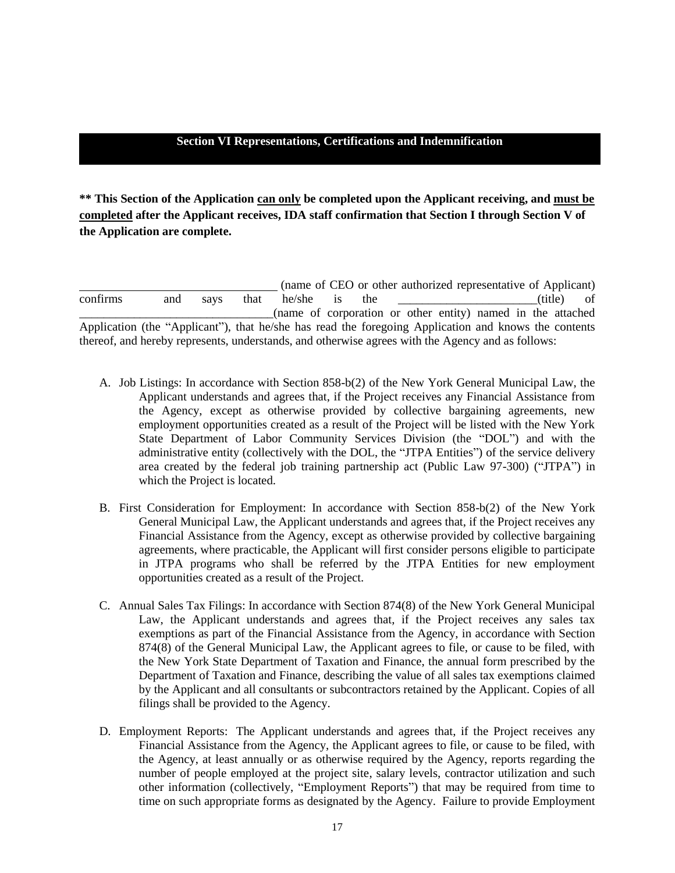#### **Section VI Representations, Certifications and Indemnification**

**\*\* This Section of the Application can only be completed upon the Applicant receiving, and must be completed after the Applicant receives, IDA staff confirmation that Section I through Section V of the Application are complete.** 

(name of CEO or other authorized representative of Applicant) confirms and says that he/she is the \_\_\_\_\_\_\_\_\_\_\_\_\_\_\_\_\_\_\_\_(title) of \_\_\_\_\_\_\_\_\_\_\_\_\_\_\_\_\_\_\_\_\_\_\_\_\_\_\_\_\_\_\_\_(name of corporation or other entity) named in the attached Application (the "Applicant"), that he/she has read the foregoing Application and knows the contents thereof, and hereby represents, understands, and otherwise agrees with the Agency and as follows:

- A. Job Listings: In accordance with Section 858-b(2) of the New York General Municipal Law, the Applicant understands and agrees that, if the Project receives any Financial Assistance from the Agency, except as otherwise provided by collective bargaining agreements, new employment opportunities created as a result of the Project will be listed with the New York State Department of Labor Community Services Division (the "DOL") and with the administrative entity (collectively with the DOL, the "JTPA Entities") of the service delivery area created by the federal job training partnership act (Public Law 97-300) ("JTPA") in which the Project is located.
- B. First Consideration for Employment: In accordance with Section 858-b(2) of the New York General Municipal Law, the Applicant understands and agrees that, if the Project receives any Financial Assistance from the Agency, except as otherwise provided by collective bargaining agreements, where practicable, the Applicant will first consider persons eligible to participate in JTPA programs who shall be referred by the JTPA Entities for new employment opportunities created as a result of the Project.
- C. Annual Sales Tax Filings: In accordance with Section 874(8) of the New York General Municipal Law, the Applicant understands and agrees that, if the Project receives any sales tax exemptions as part of the Financial Assistance from the Agency, in accordance with Section 874(8) of the General Municipal Law, the Applicant agrees to file, or cause to be filed, with the New York State Department of Taxation and Finance, the annual form prescribed by the Department of Taxation and Finance, describing the value of all sales tax exemptions claimed by the Applicant and all consultants or subcontractors retained by the Applicant. Copies of all filings shall be provided to the Agency.
- D. Employment Reports: The Applicant understands and agrees that, if the Project receives any Financial Assistance from the Agency, the Applicant agrees to file, or cause to be filed, with the Agency, at least annually or as otherwise required by the Agency, reports regarding the number of people employed at the project site, salary levels, contractor utilization and such other information (collectively, "Employment Reports") that may be required from time to time on such appropriate forms as designated by the Agency. Failure to provide Employment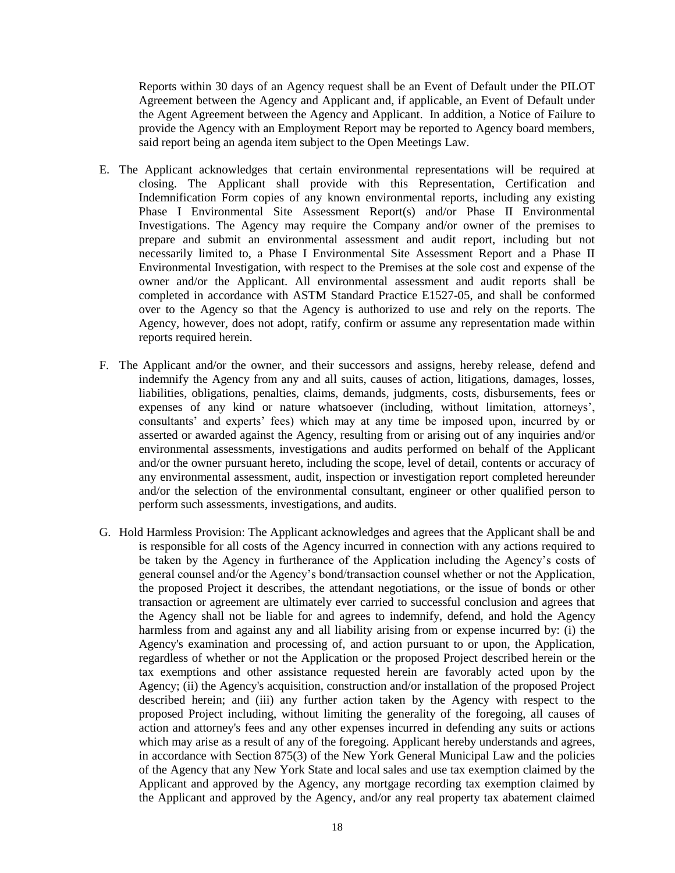Reports within 30 days of an Agency request shall be an Event of Default under the PILOT Agreement between the Agency and Applicant and, if applicable, an Event of Default under the Agent Agreement between the Agency and Applicant. In addition, a Notice of Failure to provide the Agency with an Employment Report may be reported to Agency board members, said report being an agenda item subject to the Open Meetings Law.

- E. The Applicant acknowledges that certain environmental representations will be required at closing. The Applicant shall provide with this Representation, Certification and Indemnification Form copies of any known environmental reports, including any existing Phase I Environmental Site Assessment Report(s) and/or Phase II Environmental Investigations. The Agency may require the Company and/or owner of the premises to prepare and submit an environmental assessment and audit report, including but not necessarily limited to, a Phase I Environmental Site Assessment Report and a Phase II Environmental Investigation, with respect to the Premises at the sole cost and expense of the owner and/or the Applicant. All environmental assessment and audit reports shall be completed in accordance with ASTM Standard Practice E1527-05, and shall be conformed over to the Agency so that the Agency is authorized to use and rely on the reports. The Agency, however, does not adopt, ratify, confirm or assume any representation made within reports required herein.
- F. The Applicant and/or the owner, and their successors and assigns, hereby release, defend and indemnify the Agency from any and all suits, causes of action, litigations, damages, losses, liabilities, obligations, penalties, claims, demands, judgments, costs, disbursements, fees or expenses of any kind or nature whatsoever (including, without limitation, attorneys', consultants' and experts' fees) which may at any time be imposed upon, incurred by or asserted or awarded against the Agency, resulting from or arising out of any inquiries and/or environmental assessments, investigations and audits performed on behalf of the Applicant and/or the owner pursuant hereto, including the scope, level of detail, contents or accuracy of any environmental assessment, audit, inspection or investigation report completed hereunder and/or the selection of the environmental consultant, engineer or other qualified person to perform such assessments, investigations, and audits.
- G. Hold Harmless Provision: The Applicant acknowledges and agrees that the Applicant shall be and is responsible for all costs of the Agency incurred in connection with any actions required to be taken by the Agency in furtherance of the Application including the Agency's costs of general counsel and/or the Agency's bond/transaction counsel whether or not the Application, the proposed Project it describes, the attendant negotiations, or the issue of bonds or other transaction or agreement are ultimately ever carried to successful conclusion and agrees that the Agency shall not be liable for and agrees to indemnify, defend, and hold the Agency harmless from and against any and all liability arising from or expense incurred by: (i) the Agency's examination and processing of, and action pursuant to or upon, the Application, regardless of whether or not the Application or the proposed Project described herein or the tax exemptions and other assistance requested herein are favorably acted upon by the Agency; (ii) the Agency's acquisition, construction and/or installation of the proposed Project described herein; and (iii) any further action taken by the Agency with respect to the proposed Project including, without limiting the generality of the foregoing, all causes of action and attorney's fees and any other expenses incurred in defending any suits or actions which may arise as a result of any of the foregoing. Applicant hereby understands and agrees, in accordance with Section 875(3) of the New York General Municipal Law and the policies of the Agency that any New York State and local sales and use tax exemption claimed by the Applicant and approved by the Agency, any mortgage recording tax exemption claimed by the Applicant and approved by the Agency, and/or any real property tax abatement claimed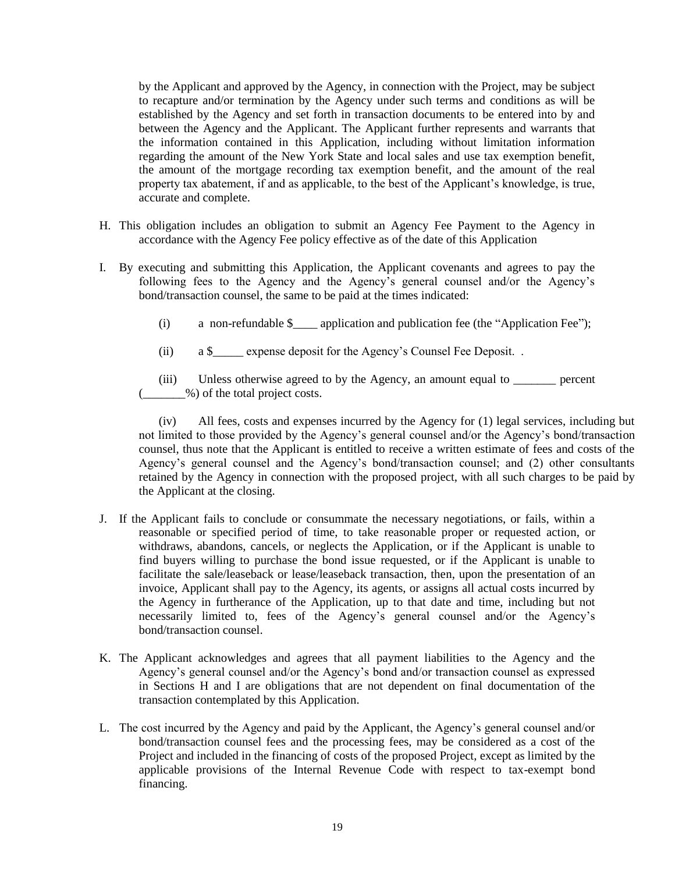by the Applicant and approved by the Agency, in connection with the Project, may be subject to recapture and/or termination by the Agency under such terms and conditions as will be established by the Agency and set forth in transaction documents to be entered into by and between the Agency and the Applicant. The Applicant further represents and warrants that the information contained in this Application, including without limitation information regarding the amount of the New York State and local sales and use tax exemption benefit, the amount of the mortgage recording tax exemption benefit, and the amount of the real property tax abatement, if and as applicable, to the best of the Applicant's knowledge, is true, accurate and complete.

- H. This obligation includes an obligation to submit an Agency Fee Payment to the Agency in accordance with the Agency Fee policy effective as of the date of this Application
- I. By executing and submitting this Application, the Applicant covenants and agrees to pay the following fees to the Agency and the Agency's general counsel and/or the Agency's bond/transaction counsel, the same to be paid at the times indicated:
	- (i) a non-refundable  $\$  application and publication fee (the "Application Fee");
	- (ii) a \$\_\_\_\_\_ expense deposit for the Agency's Counsel Fee Deposit. .

(iii) Unless otherwise agreed to by the Agency, an amount equal to \_\_\_\_\_\_\_ percent (\_\_\_\_\_\_\_%) of the total project costs.

(iv) All fees, costs and expenses incurred by the Agency for (1) legal services, including but not limited to those provided by the Agency's general counsel and/or the Agency's bond/transaction counsel, thus note that the Applicant is entitled to receive a written estimate of fees and costs of the Agency's general counsel and the Agency's bond/transaction counsel; and (2) other consultants retained by the Agency in connection with the proposed project, with all such charges to be paid by the Applicant at the closing.

- J. If the Applicant fails to conclude or consummate the necessary negotiations, or fails, within a reasonable or specified period of time, to take reasonable proper or requested action, or withdraws, abandons, cancels, or neglects the Application, or if the Applicant is unable to find buyers willing to purchase the bond issue requested, or if the Applicant is unable to facilitate the sale/leaseback or lease/leaseback transaction, then, upon the presentation of an invoice, Applicant shall pay to the Agency, its agents, or assigns all actual costs incurred by the Agency in furtherance of the Application, up to that date and time, including but not necessarily limited to, fees of the Agency's general counsel and/or the Agency's bond/transaction counsel.
- K. The Applicant acknowledges and agrees that all payment liabilities to the Agency and the Agency's general counsel and/or the Agency's bond and/or transaction counsel as expressed in Sections H and I are obligations that are not dependent on final documentation of the transaction contemplated by this Application.
- L. The cost incurred by the Agency and paid by the Applicant, the Agency's general counsel and/or bond/transaction counsel fees and the processing fees, may be considered as a cost of the Project and included in the financing of costs of the proposed Project, except as limited by the applicable provisions of the Internal Revenue Code with respect to tax-exempt bond financing.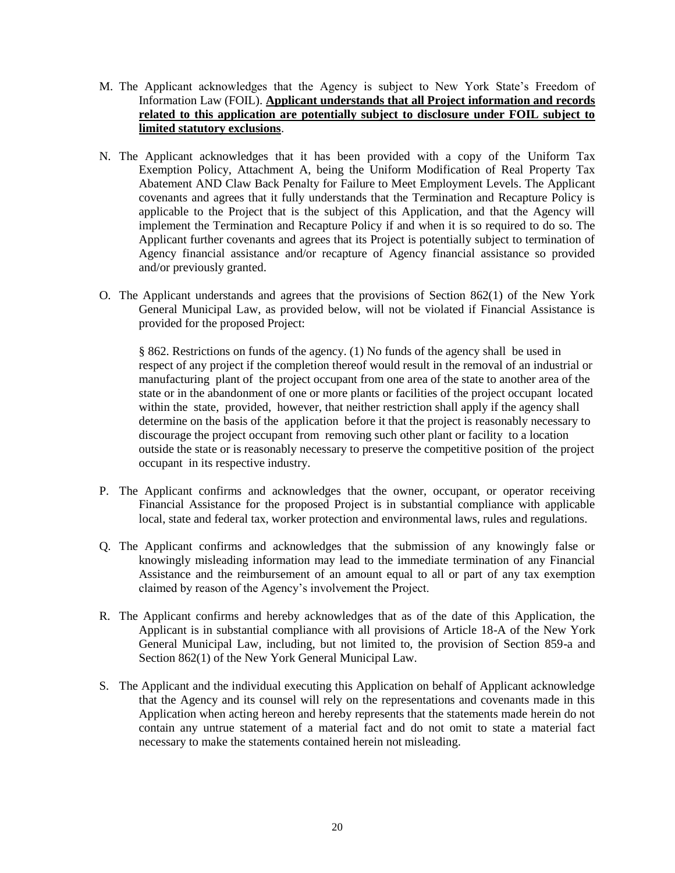- M. The Applicant acknowledges that the Agency is subject to New York State's Freedom of Information Law (FOIL). **Applicant understands that all Project information and records related to this application are potentially subject to disclosure under FOIL subject to limited statutory exclusions**.
- N. The Applicant acknowledges that it has been provided with a copy of the Uniform Tax Exemption Policy, Attachment A, being the Uniform Modification of Real Property Tax Abatement AND Claw Back Penalty for Failure to Meet Employment Levels. The Applicant covenants and agrees that it fully understands that the Termination and Recapture Policy is applicable to the Project that is the subject of this Application, and that the Agency will implement the Termination and Recapture Policy if and when it is so required to do so. The Applicant further covenants and agrees that its Project is potentially subject to termination of Agency financial assistance and/or recapture of Agency financial assistance so provided and/or previously granted.
- O. The Applicant understands and agrees that the provisions of Section 862(1) of the New York General Municipal Law, as provided below, will not be violated if Financial Assistance is provided for the proposed Project:

§ 862. Restrictions on funds of the agency. (1) No funds of the agency shall be used in respect of any project if the completion thereof would result in the removal of an industrial or manufacturing plant of the project occupant from one area of the state to another area of the state or in the abandonment of one or more plants or facilities of the project occupant located within the state, provided, however, that neither restriction shall apply if the agency shall determine on the basis of the application before it that the project is reasonably necessary to discourage the project occupant from removing such other plant or facility to a location outside the state or is reasonably necessary to preserve the competitive position of the project occupant in its respective industry.

- P. The Applicant confirms and acknowledges that the owner, occupant, or operator receiving Financial Assistance for the proposed Project is in substantial compliance with applicable local, state and federal tax, worker protection and environmental laws, rules and regulations.
- Q. The Applicant confirms and acknowledges that the submission of any knowingly false or knowingly misleading information may lead to the immediate termination of any Financial Assistance and the reimbursement of an amount equal to all or part of any tax exemption claimed by reason of the Agency's involvement the Project.
- R. The Applicant confirms and hereby acknowledges that as of the date of this Application, the Applicant is in substantial compliance with all provisions of Article 18-A of the New York General Municipal Law, including, but not limited to, the provision of Section 859-a and Section 862(1) of the New York General Municipal Law.
- S. The Applicant and the individual executing this Application on behalf of Applicant acknowledge that the Agency and its counsel will rely on the representations and covenants made in this Application when acting hereon and hereby represents that the statements made herein do not contain any untrue statement of a material fact and do not omit to state a material fact necessary to make the statements contained herein not misleading.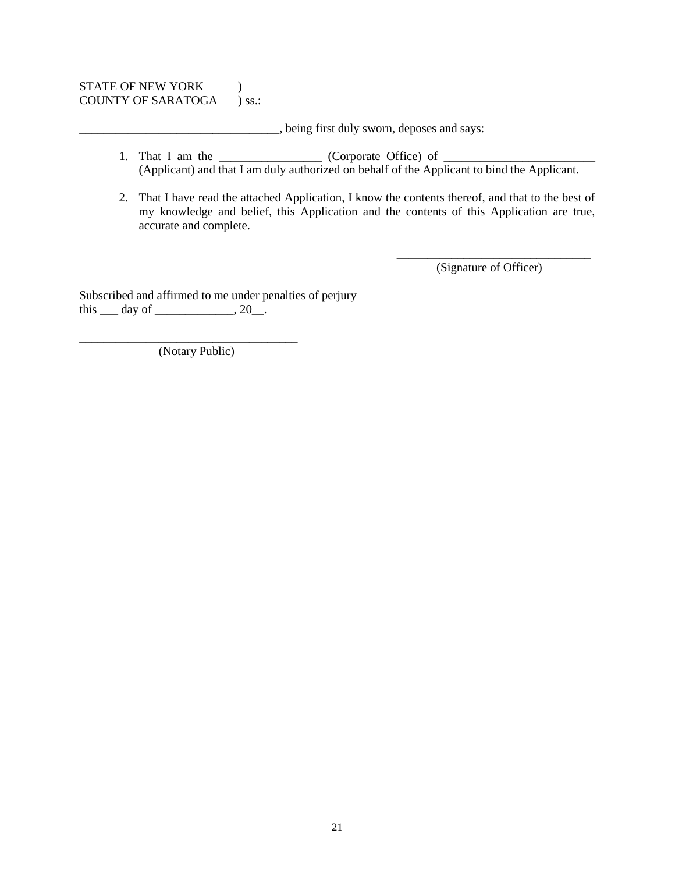#### STATE OF NEW YORK  $\qquad$  ) COUNTY OF SARATOGA ) ss.:

\_\_\_\_\_\_\_\_\_\_\_\_\_\_\_\_\_\_\_\_\_\_\_\_\_\_\_\_\_\_\_\_\_, being first duly sworn, deposes and says:

- 1. That I am the \_\_\_\_\_\_\_\_\_\_\_\_\_\_\_\_\_\_ (Corporate Office) of \_\_\_\_\_\_\_\_\_\_\_\_\_\_\_\_\_\_\_\_\_\_ (Applicant) and that I am duly authorized on behalf of the Applicant to bind the Applicant.
- 2. That I have read the attached Application, I know the contents thereof, and that to the best of my knowledge and belief, this Application and the contents of this Application are true, accurate and complete.

\_\_\_\_\_\_\_\_\_\_\_\_\_\_\_\_\_\_\_\_\_\_\_\_\_\_\_\_\_\_\_\_ (Signature of Officer)

Subscribed and affirmed to me under penalties of perjury this  $\_\_$  day of  $\_\_\_\_$ , 20 $\_\_$ .

(Notary Public)

\_\_\_\_\_\_\_\_\_\_\_\_\_\_\_\_\_\_\_\_\_\_\_\_\_\_\_\_\_\_\_\_\_\_\_\_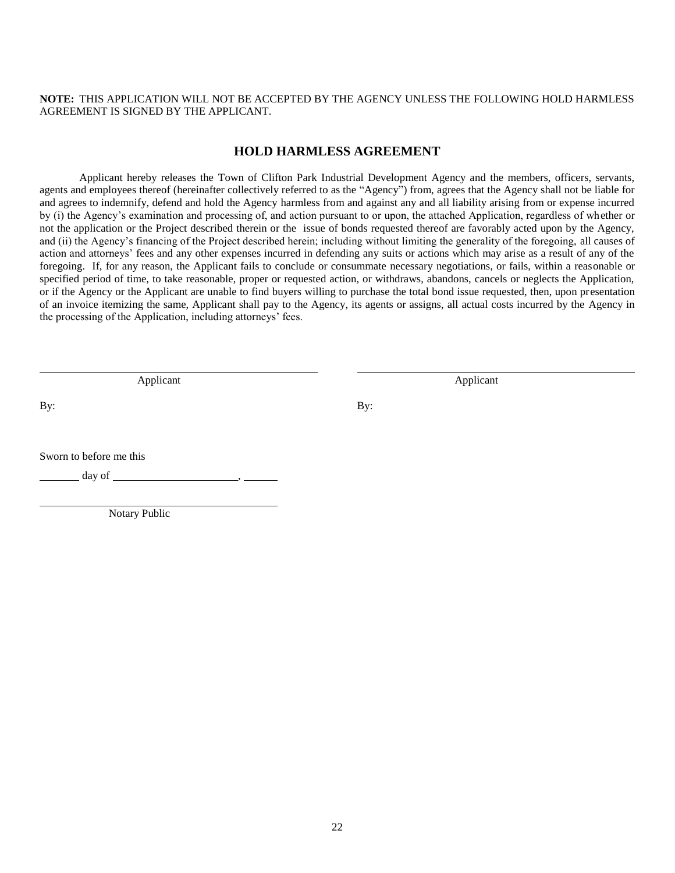**NOTE:** THIS APPLICATION WILL NOT BE ACCEPTED BY THE AGENCY UNLESS THE FOLLOWING HOLD HARMLESS AGREEMENT IS SIGNED BY THE APPLICANT.

#### **HOLD HARMLESS AGREEMENT**

Applicant hereby releases the Town of Clifton Park Industrial Development Agency and the members, officers, servants, agents and employees thereof (hereinafter collectively referred to as the "Agency") from, agrees that the Agency shall not be liable for and agrees to indemnify, defend and hold the Agency harmless from and against any and all liability arising from or expense incurred by (i) the Agency's examination and processing of, and action pursuant to or upon, the attached Application, regardless of whether or not the application or the Project described therein or the issue of bonds requested thereof are favorably acted upon by the Agency, and (ii) the Agency's financing of the Project described herein; including without limiting the generality of the foregoing, all causes of action and attorneys' fees and any other expenses incurred in defending any suits or actions which may arise as a result of any of the foregoing. If, for any reason, the Applicant fails to conclude or consummate necessary negotiations, or fails, within a reasonable or specified period of time, to take reasonable, proper or requested action, or withdraws, abandons, cancels or neglects the Application, or if the Agency or the Applicant are unable to find buyers willing to purchase the total bond issue requested, then, upon presentation of an invoice itemizing the same, Applicant shall pay to the Agency, its agents or assigns, all actual costs incurred by the Agency in the processing of the Application, including attorneys' fees.

Applicant Applicant Applicant Applicant Applicant Applicant Applicant Applicant Applicant Applicant Applicant

By: By:

Sworn to before me this

day of  $\blacksquare$ 

Notary Public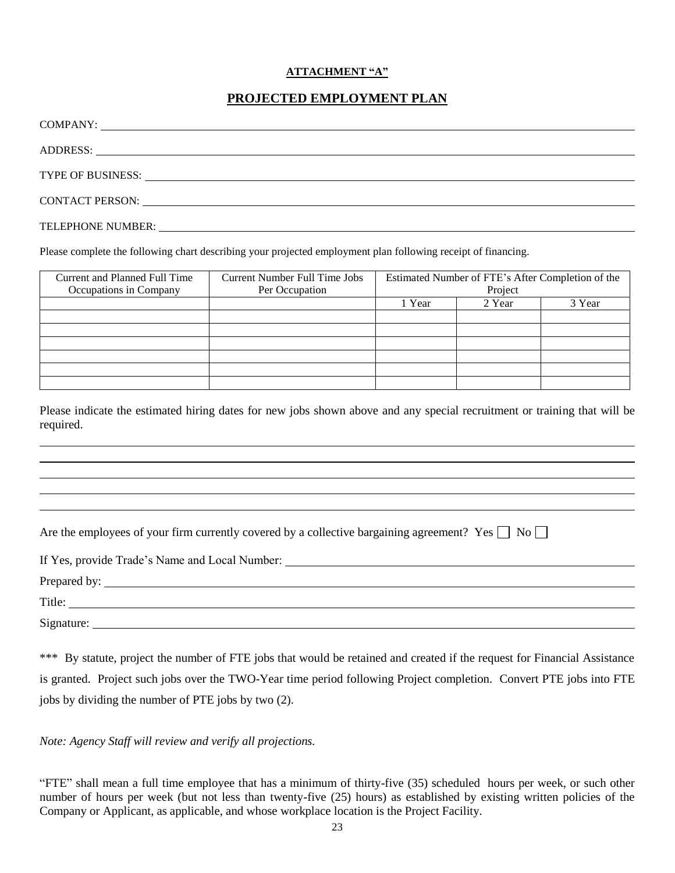#### **ATTACHMENT "A"**

# **PROJECTED EMPLOYMENT PLAN**

| ADDRESS: New York Contract of the Contract of the Contract of the Contract of the Contract of the Contract of the Contract of the Contract of the Contract of the Contract of the Contract of the Contract of the Contract of  |
|--------------------------------------------------------------------------------------------------------------------------------------------------------------------------------------------------------------------------------|
|                                                                                                                                                                                                                                |
|                                                                                                                                                                                                                                |
| CONTACT PERSON: University of the contract of the contract of the contract of the contract of the contract of the contract of the contract of the contract of the contract of the contract of the contract of the contract of  |
| TELEPHONE NUMBER: LEADER AND THE SERVICE OF THE SERVICE OF THE SERVICE OF THE SERVICE OF THE SERVICE OF THE SERVICE OF THE SERVICE OF THE SERVICE OF THE SERVICE OF THE SERVICE OF THE SERVICE OF THE SERVICE OF THE SERVICE O |
|                                                                                                                                                                                                                                |

Please complete the following chart describing your projected employment plan following receipt of financing.

| Current and Planned Full Time<br>Occupations in Company | <b>Current Number Full Time Jobs</b><br>Per Occupation | Estimated Number of FTE's After Completion of the<br>Project |        |        |
|---------------------------------------------------------|--------------------------------------------------------|--------------------------------------------------------------|--------|--------|
|                                                         |                                                        | 1 Year                                                       | 2 Year | 3 Year |
|                                                         |                                                        |                                                              |        |        |
|                                                         |                                                        |                                                              |        |        |
|                                                         |                                                        |                                                              |        |        |
|                                                         |                                                        |                                                              |        |        |
|                                                         |                                                        |                                                              |        |        |
|                                                         |                                                        |                                                              |        |        |

Please indicate the estimated hiring dates for new jobs shown above and any special recruitment or training that will be required.

Are the employees of your firm currently covered by a collective bargaining agreement? Yes  $\Box$  No  $\Box$ 

| If Yes, provide Trade's Name and Local Number: |  |  |  |  |  |
|------------------------------------------------|--|--|--|--|--|
|                                                |  |  |  |  |  |
| Title:                                         |  |  |  |  |  |
| Signature:                                     |  |  |  |  |  |

\*\*\* By statute, project the number of FTE jobs that would be retained and created if the request for Financial Assistance is granted. Project such jobs over the TWO-Year time period following Project completion. Convert PTE jobs into FTE jobs by dividing the number of PTE jobs by two (2).

*Note: Agency Staff will review and verify all projections.*

"FTE" shall mean a full time employee that has a minimum of thirty-five (35) scheduled hours per week, or such other number of hours per week (but not less than twenty-five (25) hours) as established by existing written policies of the Company or Applicant, as applicable, and whose workplace location is the Project Facility.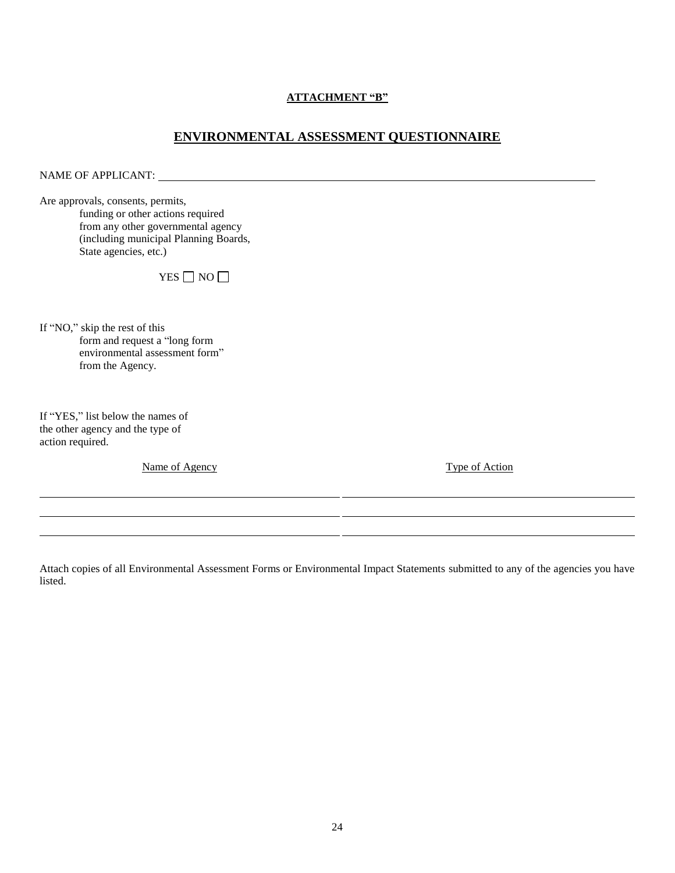#### **ATTACHMENT "B"**

# **ENVIRONMENTAL ASSESSMENT QUESTIONNAIRE**

NAME OF APPLICANT:

Are approvals, consents, permits, funding or other actions required from any other governmental agency (including municipal Planning Boards, State agencies, etc.)

YES  $\Box$  NO  $\Box$ 

If "NO," skip the rest of this form and request a "long form environmental assessment form" from the Agency.

If "YES," list below the names of the other agency and the type of action required.

Name of Agency Type of Action

Attach copies of all Environmental Assessment Forms or Environmental Impact Statements submitted to any of the agencies you have listed.

l l l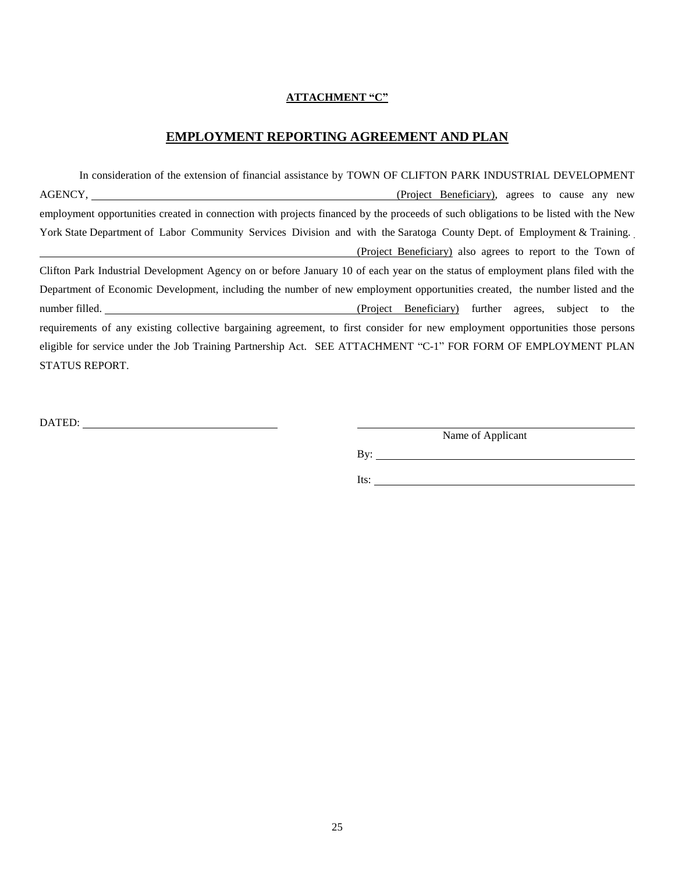#### **ATTACHMENT "C"**

### **EMPLOYMENT REPORTING AGREEMENT AND PLAN**

In consideration of the extension of financial assistance by TOWN OF CLIFTON PARK INDUSTRIAL DEVELOPMENT AGENCY, (Project Beneficiary), agrees to cause any new employment opportunities created in connection with projects financed by the proceeds of such obligations to be listed with the New York State Department of Labor Community Services Division and with the Saratoga County Dept. of Employment & Training. (Project Beneficiary) also agrees to report to the Town of Clifton Park Industrial Development Agency on or before January 10 of each year on the status of employment plans filed with the Department of Economic Development, including the number of new employment opportunities created, the number listed and the number filled. (Project Beneficiary) further agrees, subject to the requirements of any existing collective bargaining agreement, to first consider for new employment opportunities those persons eligible for service under the Job Training Partnership Act. SEE ATTACHMENT "C-1" FOR FORM OF EMPLOYMENT PLAN STATUS REPORT.

DATED:

Name of Applicant

By:  $\qquad \qquad$ 

Its: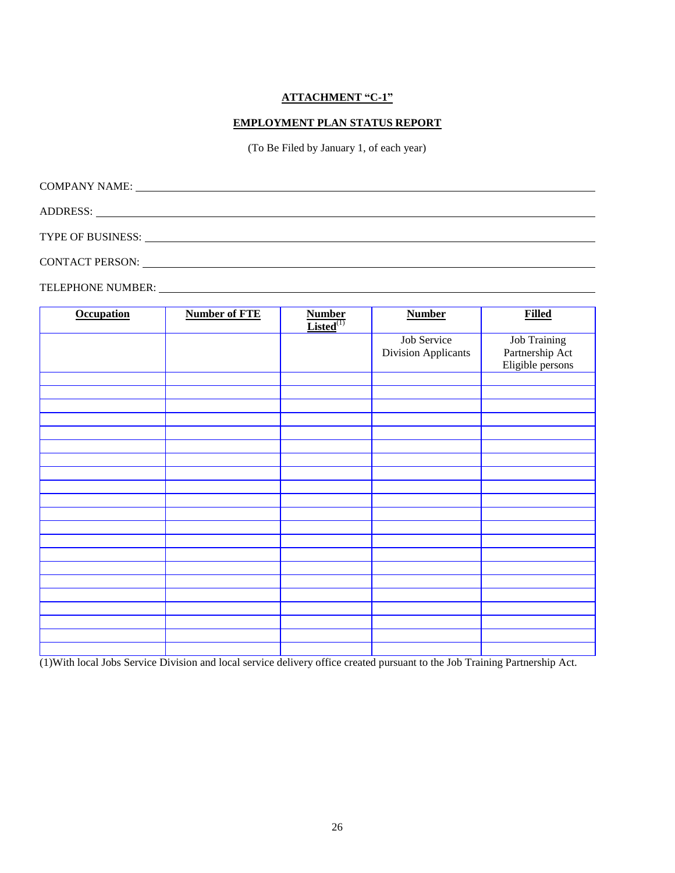#### **ATTACHMENT "C-1"**

#### **EMPLOYMENT PLAN STATUS REPORT**

(To Be Filed by January 1, of each year)

| COMPANY NAME:          | <u> 1980 - Jan Samuel Barbara, martin da shekara 1980 - An tsara 1980 - An tsara 1980 - An tsara 1980 - An tsara</u> |  |  |
|------------------------|----------------------------------------------------------------------------------------------------------------------|--|--|
|                        |                                                                                                                      |  |  |
| TYPE OF BUSINESS:      |                                                                                                                      |  |  |
| <b>CONTACT PERSON:</b> |                                                                                                                      |  |  |

TELEPHONE NUMBER:

| <b>Occupation</b> | <b>Number of FTE</b> | $\frac{\textbf{Number}}{\textbf{Listed}^{(1)}}$ | <b>Number</b>              | <b>Filled</b>       |
|-------------------|----------------------|-------------------------------------------------|----------------------------|---------------------|
|                   |                      |                                                 | Job Service                | <b>Job Training</b> |
|                   |                      |                                                 | <b>Division Applicants</b> | Partnership Act     |
|                   |                      |                                                 |                            | Eligible persons    |
|                   |                      |                                                 |                            |                     |
|                   |                      |                                                 |                            |                     |
|                   |                      |                                                 |                            |                     |
|                   |                      |                                                 |                            |                     |
|                   |                      |                                                 |                            |                     |
|                   |                      |                                                 |                            |                     |
|                   |                      |                                                 |                            |                     |
|                   |                      |                                                 |                            |                     |
|                   |                      |                                                 |                            |                     |
|                   |                      |                                                 |                            |                     |
|                   |                      |                                                 |                            |                     |
|                   |                      |                                                 |                            |                     |
|                   |                      |                                                 |                            |                     |
|                   |                      |                                                 |                            |                     |
|                   |                      |                                                 |                            |                     |
|                   |                      |                                                 |                            |                     |
|                   |                      |                                                 |                            |                     |
|                   |                      |                                                 |                            |                     |
|                   |                      |                                                 |                            |                     |
|                   |                      |                                                 |                            |                     |
|                   |                      |                                                 |                            |                     |
|                   |                      |                                                 |                            |                     |

(1)With local Jobs Service Division and local service delivery office created pursuant to the Job Training Partnership Act.